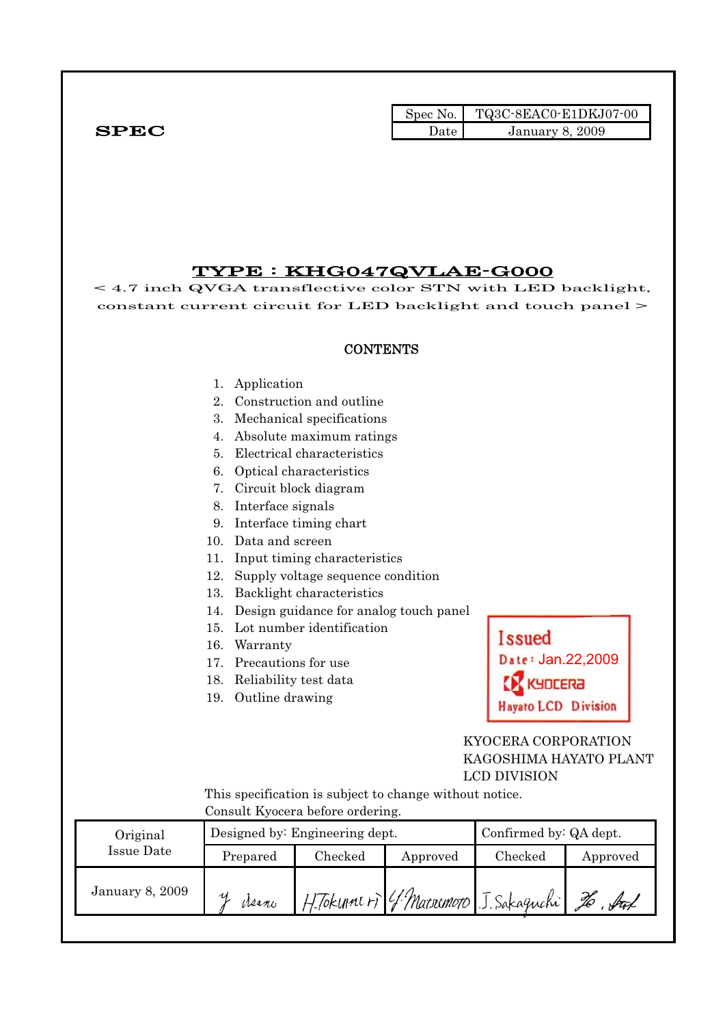|              | Spec No. | $\blacksquare$ TQ3C-8EAC0-E1DKJ07-00 |
|--------------|----------|--------------------------------------|
| ${\bf SPEC}$ | Date     | <b>January 8, 2009</b>               |

### TYPE : KHG047QVLAE-G000

< 4.7 inch QVGA transflective color STN with LED backlight, constant current circuit for LED backlight and touch panel >

#### **CONTENTS**

- 1. Application
- 2. Construction and outline
- 3. Mechanical specifications
- 4. Absolute maximum ratings
- 5. Electrical characteristics
- 6. Optical characteristics
- 7. Circuit block diagram
- 8. Interface signals
- 9. Interface timing chart
- 10. Data and screen
- 11. Input timing characteristics
- 12. Supply voltage sequence condition
- 13. Backlight characteristics
- 14. Design guidance for analog touch panel
- 15. Lot number identification
- 16. Warranty
- 17. Precautions for use
- 18. Reliability test data
- 19. Outline drawing

# **Issued** Date: Jan.22,2009 KYOCERA **Hayato LCD Division**

#### KYOCERA CORPORATION KAGOSHIMA HAYATO PLANT LCD DIVISION

 This specification is subject to change without notice. Consult Kyocera before ordering.

| Consult hypera before pruering. |          |                                |                        |                                        |          |  |  |
|---------------------------------|----------|--------------------------------|------------------------|----------------------------------------|----------|--|--|
| Original                        |          | Designed by: Engineering dept. | Confirmed by: QA dept. |                                        |          |  |  |
| Issue Date                      | Prepared | Checked                        | Approved               | Checked                                | Approved |  |  |
| <b>January 8, 2009</b>          | Meano    |                                |                        | H. Tokunne ri 4 Marsemoto J. Sakaguchi | ful      |  |  |
|                                 |          |                                |                        |                                        |          |  |  |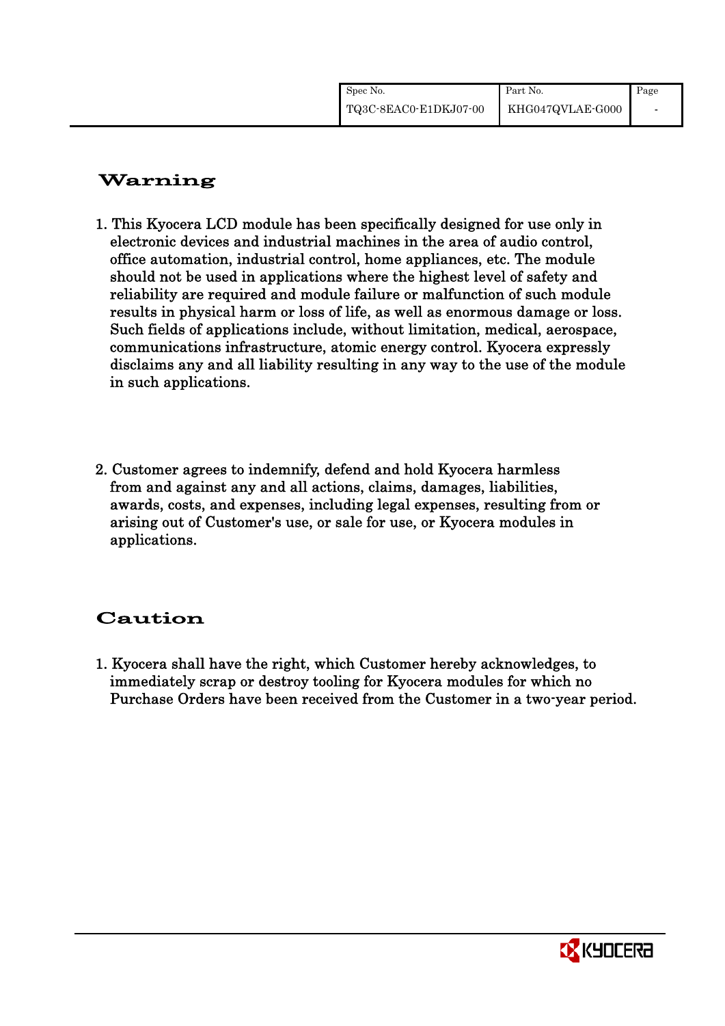| Spec No.              | Part No.         | Page                     |
|-----------------------|------------------|--------------------------|
| TQ3C-8EAC0-E1DKJ07-00 | KHG047QVLAE-G000 | $\overline{\phantom{a}}$ |

# Warning

- 1. This Kyocera LCD module has been specifically designed for use only in electronic devices and industrial machines in the area of audio control, office automation, industrial control, home appliances, etc. The module should not be used in applications where the highest level of safety and reliability are required and module failure or malfunction of such module results in physical harm or loss of life, as well as enormous damage or loss. Such fields of applications include, without limitation, medical, aerospace, communications infrastructure, atomic energy control. Kyocera expressly disclaims any and all liability resulting in any way to the use of the module in such applications.
- 2. Customer agrees to indemnify, defend and hold Kyocera harmless from and against any and all actions, claims, damages, liabilities, awards, costs, and expenses, including legal expenses, resulting from or arising out of Customer's use, or sale for use, or Kyocera modules in applications.

# Caution

1. Kyocera shall have the right, which Customer hereby acknowledges, to immediately scrap or destroy tooling for Kyocera modules for which no Purchase Orders have been received from the Customer in a two-year period.

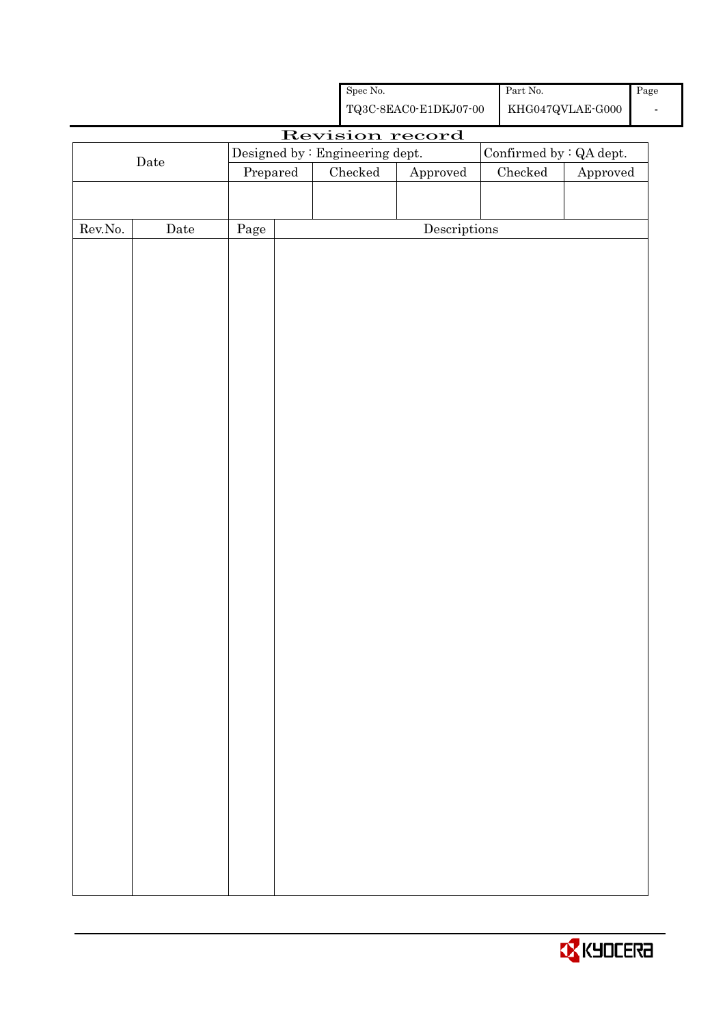|                  |                                 |      |          | ${\rm Spec}$ No.        |                                                    | $\operatorname{Part}$ No. |                               | Page |
|------------------|---------------------------------|------|----------|-------------------------|----------------------------------------------------|---------------------------|-------------------------------|------|
|                  |                                 |      |          |                         | ${\bf TQ3C\text{-}SEAC0\text{-}E1DKJ07\text{-}00}$ |                           | $\rm KHG047QVLAE\mbox{-}G000$ |      |
|                  |                                 |      |          |                         | Revision record                                    |                           |                               |      |
|                  | Designed by : Engineering dept. |      |          | Confirmed by : QA dept. |                                                    |                           |                               |      |
|                  | $\rm{Date}$                     |      | Prepared | ${\it Checked}$         | Approved                                           | $\rm Checked$<br>Approved |                               |      |
|                  |                                 |      |          |                         |                                                    |                           |                               |      |
|                  |                                 |      |          |                         |                                                    |                           |                               |      |
| ${\rm Rev. No.}$ | $\rm{Date}$                     | Page |          |                         | $\label{eq:2} \textbf{Descriptions}$               |                           |                               |      |
|                  |                                 |      |          |                         |                                                    |                           |                               |      |
|                  |                                 |      |          |                         |                                                    |                           |                               |      |
|                  |                                 |      |          |                         |                                                    |                           |                               |      |
|                  |                                 |      |          |                         |                                                    |                           |                               |      |
|                  |                                 |      |          |                         |                                                    |                           |                               |      |
|                  |                                 |      |          |                         |                                                    |                           |                               |      |
|                  |                                 |      |          |                         |                                                    |                           |                               |      |
|                  |                                 |      |          |                         |                                                    |                           |                               |      |
|                  |                                 |      |          |                         |                                                    |                           |                               |      |
|                  |                                 |      |          |                         |                                                    |                           |                               |      |
|                  |                                 |      |          |                         |                                                    |                           |                               |      |
|                  |                                 |      |          |                         |                                                    |                           |                               |      |
|                  |                                 |      |          |                         |                                                    |                           |                               |      |
|                  |                                 |      |          |                         |                                                    |                           |                               |      |
|                  |                                 |      |          |                         |                                                    |                           |                               |      |
|                  |                                 |      |          |                         |                                                    |                           |                               |      |
|                  |                                 |      |          |                         |                                                    |                           |                               |      |
|                  |                                 |      |          |                         |                                                    |                           |                               |      |
|                  |                                 |      |          |                         |                                                    |                           |                               |      |
|                  |                                 |      |          |                         |                                                    |                           |                               |      |
|                  |                                 |      |          |                         |                                                    |                           |                               |      |
|                  |                                 |      |          |                         |                                                    |                           |                               |      |
|                  |                                 |      |          |                         |                                                    |                           |                               |      |
|                  |                                 |      |          |                         |                                                    |                           |                               |      |
|                  |                                 |      |          |                         |                                                    |                           |                               |      |
|                  |                                 |      |          |                         |                                                    |                           |                               |      |
|                  |                                 |      |          |                         |                                                    |                           |                               |      |
|                  |                                 |      |          |                         |                                                    |                           |                               |      |
|                  |                                 |      |          |                         |                                                    |                           |                               |      |
|                  |                                 |      |          |                         |                                                    |                           |                               |      |
|                  |                                 |      |          |                         |                                                    |                           |                               |      |
|                  |                                 |      |          |                         |                                                    |                           |                               |      |
|                  |                                 |      |          |                         |                                                    |                           |                               |      |
|                  |                                 |      |          |                         |                                                    |                           |                               |      |
|                  |                                 |      |          |                         |                                                    |                           |                               |      |

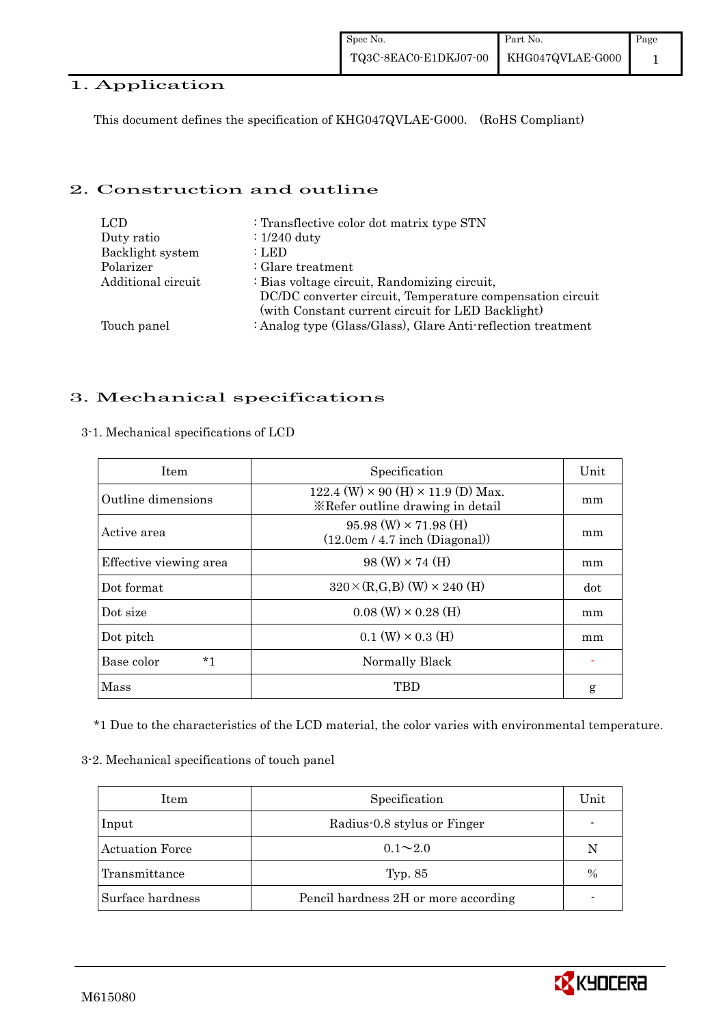#### 1. Application

This document defines the specification of KHG047QVLAE-G000. (RoHS Compliant)

#### 2. Construction and outline

| <b>LCD</b>         | : Transflective color dot matrix type STN                                                                      |
|--------------------|----------------------------------------------------------------------------------------------------------------|
| Duty ratio         | $: 1/240$ duty                                                                                                 |
| Backlight system   | : LED                                                                                                          |
| Polarizer          | $:$ Glare treatment                                                                                            |
| Additional circuit | : Bias voltage circuit, Randomizing circuit,                                                                   |
|                    | DC/DC converter circuit, Temperature compensation circuit<br>(with Constant current circuit for LED Backlight) |
| Touch panel        | : Analog type (Glass/Glass), Glare Anti-reflection treatment                                                   |

#### 3. Mechanical specifications

| <b>Item</b>            | Specification                                                                        | Unit |
|------------------------|--------------------------------------------------------------------------------------|------|
| Outline dimensions     | 122.4 (W) $\times$ 90 (H) $\times$ 11.9 (D) Max.<br>*Refer outline drawing in detail | mm   |
| Active area            | $95.98$ (W) $\times$ 71.98 (H)<br>(12.0cm / 4.7 inch (Diagonal))                     | mm   |
| Effective viewing area | $98 \text{ (W)} \times 74 \text{ (H)}$                                               | mm   |
| Dot format             | $320 \times (R,G,B)$ (W) $\times$ 240 (H)                                            | dot  |
| Dot size               | $0.08$ (W) $\times$ 0.28 (H)                                                         | mm   |
| Dot pitch              | $0.1$ (W) $\times$ 0.3 (H)                                                           | mm   |
| Base color<br>*1       | Normally Black                                                                       |      |
| Mass                   | TBD                                                                                  | g    |

#### 3-1. Mechanical specifications of LCD

\*1 Due to the characteristics of the LCD material, the color varies with environmental temperature.

3-2. Mechanical specifications of touch panel

| Item                   | Specification                        | Unit          |
|------------------------|--------------------------------------|---------------|
| Input                  | Radius-0.8 stylus or Finger          |               |
| <b>Actuation Force</b> | $0.1 \sim 2.0$                       | N             |
| Transmittance          | Typ. 85                              | $\frac{0}{0}$ |
| Surface hardness       | Pencil hardness 2H or more according |               |

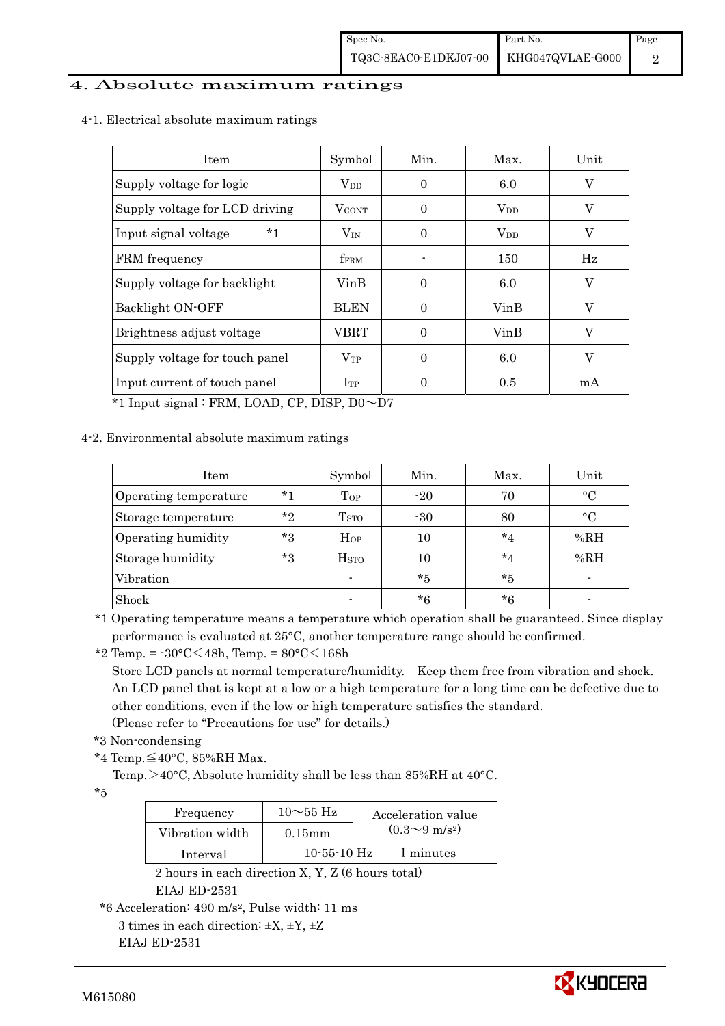#### 4. Absolute maximum ratings

4-1. Electrical absolute maximum ratings

| <b>Item</b>                    | Symbol       | Min.     | Max.                   | Unit |
|--------------------------------|--------------|----------|------------------------|------|
| Supply voltage for logic       | $V_{DD}$     | $\Omega$ | 6.0                    | V    |
| Supply voltage for LCD driving | <b>VCONT</b> | $\Omega$ | <b>V</b> <sub>DD</sub> | V    |
| $*1$<br>Input signal voltage   | $V_{\rm IN}$ | $\Omega$ | <b>V</b> <sub>DD</sub> | V    |
| FRM frequency                  | <b>fFRM</b>  |          | 150                    | Hz   |
| Supply voltage for backlight   | VinB         | 0        | 6.0                    | V    |
| Backlight ON-OFF               | <b>BLEN</b>  | $\Omega$ | VinB                   | V    |
| Brightness adjust voltage      | VBRT         | $\Omega$ | VinB                   | V    |
| Supply voltage for touch panel | $V_{TP}$     | 0        | 6.0                    | V    |
| Input current of touch panel   | $I_{TP}$     | 0        | 0.5                    | mA   |

 $*1$  Input signal : FRM, LOAD, CP, DISP,  $D0 \sim D7$ 

#### 4-2. Environmental absolute maximum ratings

| Item                  |         | Symbol                  | Min.  | Max.    | Unit      |
|-----------------------|---------|-------------------------|-------|---------|-----------|
| Operating temperature | $*1$    | Top                     | $-20$ | 70      | $\circ$ C |
| Storage temperature   | $*_{2}$ | T <sub>STO</sub>        | $-30$ | 80      | $\circ$ C |
| Operating humidity    | *3      | $H_{OP}$                | 10    | $*_{4}$ | %RH       |
| Storage humidity      | $*_{3}$ | <b>H</b> <sub>sto</sub> | 10    | $*_{4}$ | %RH       |
| Vibration             |         | $\blacksquare$          | $*5$  | $*5$    |           |
| Shock                 |         |                         | $*6$  | $*6$    |           |

\*1 Operating temperature means a temperature which operation shall be guaranteed. Since display performance is evaluated at 25°C, another temperature range should be confirmed.

\*2 Temp. = -30°C<48h, Temp. = 80°C<168h

 Store LCD panels at normal temperature/humidity. Keep them free from vibration and shock. An LCD panel that is kept at a low or a high temperature for a long time can be defective due to other conditions, even if the low or high temperature satisfies the standard.

(Please refer to "Precautions for use" for details.)

- \*3 Non-condensing
- \*4 Temp.≦40°C, 85%RH Max.

Temp. >40°C, Absolute humidity shall be less than 85%RH at 40°C.

\*5

| Frequency       | $10\sim$ 55 Hz | Acceleration value           |
|-----------------|----------------|------------------------------|
| Vibration width | $0.15$ m m     | $(0.3 \sim 9 \text{ m/s}^2)$ |
| Interval        | $10-55-10$ Hz  | 1 minutes                    |

 2 hours in each direction X, Y, Z (6 hours total) EIAJ ED-2531

\*6 Acceleration: 490 m/s2, Pulse width: 11 ms



<sup>3</sup> times in each direction:  $\pm X$ ,  $\pm Y$ ,  $\pm Z$ EIAJ ED-2531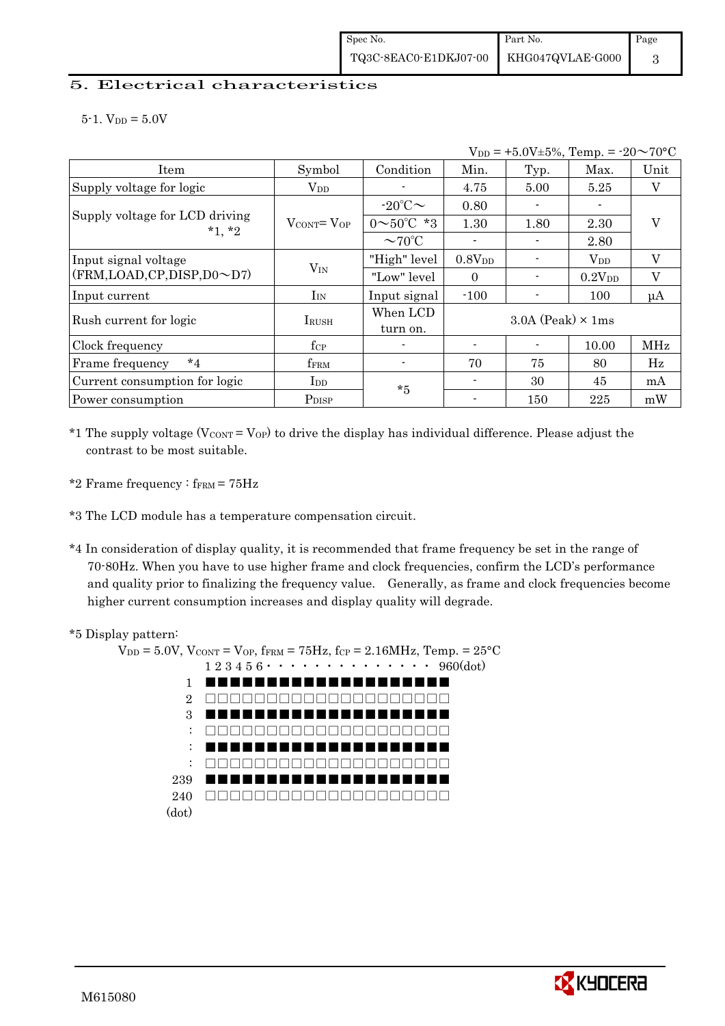#### 5. Electrical characteristics

 $5-1.$  V<sub>DD</sub> =  $5.0V$ 

| $V_{DD} = +5.0V \pm 5\%,$ Temp. = $-20 \sim 70$ °C |                                   |                          |                    |                            |             |             |
|----------------------------------------------------|-----------------------------------|--------------------------|--------------------|----------------------------|-------------|-------------|
| Item                                               | Symbol                            | Condition                | Min.               | Typ.                       | Max.        | Unit        |
| Supply voltage for logic                           | $\rm V_{DD}$                      |                          | 4.75               | 5.00                       | 5.25        | V           |
| Supply voltage for LCD driving<br>$*1, *2$         |                                   | $-20^{\circ}$ C $\sim$   | 0.80               |                            |             |             |
|                                                    | $V_{\text{CONT}} = V_{\text{OP}}$ | $0 \sim 50^{\circ}$ C *3 | 1.30               | 1.80                       | 2.30        | V           |
|                                                    |                                   | $\sim$ 70°C              |                    |                            | 2.80        |             |
| Input signal voltage                               |                                   | "High" level             | 0.8V <sub>DD</sub> |                            | $V_{DD}$    | V           |
| (FRM, LOAD, CP, DISP, D0~D7)                       | $V_{IN}$                          | "Low" level              | $\Omega$           |                            | $0.2V_{DD}$ | V           |
| Input current                                      | $I_{IN}$                          | Input signal             | $-100$             |                            | 100         | $\mu A$     |
| Rush current for logic                             | <b>IRUSH</b>                      | When LCD<br>turn on.     |                    | $3.0A$ (Peak) $\times$ 1ms |             |             |
| Clock frequency                                    | $f_{\rm CP}$                      |                          |                    |                            | 10.00       | MHz         |
| $*_{4}$<br>Frame frequency                         | fFRM                              |                          | 70                 | 75                         | 80          | $_{\rm Hz}$ |
| Current consumption for logic                      | $_{\rm{LDD}}$                     | $*5$                     |                    | 30                         | 45          | mA          |
| Power consumption                                  | P <sub>DISP</sub>                 |                          |                    | 150                        | 225         | mW          |

 $*1$  The supply voltage (VCONT = VOP) to drive the display has individual difference. Please adjust the contrast to be most suitable.

- \*2 Frame frequency :  $f_{\text{FRM}} = 75 \text{Hz}$
- \*3 The LCD module has a temperature compensation circuit.
- \*4 In consideration of display quality, it is recommended that frame frequency be set in the range of 70-80Hz. When you have to use higher frame and clock frequencies, confirm the LCD's performance and quality prior to finalizing the frequency value. Generally, as frame and clock frequencies become higher current consumption increases and display quality will degrade.

#### \*5 Display pattern:

 $V_{DD} = 5.0V$ ,  $V_{CONT} = V_{OP}$ ,  $f_{FRM} = 75Hz$ ,  $f_{CP} = 2.16MHz$ ,  $Temp. = 25°C$  1 2 3 4 5 6・・・・・・・・・・・・・・ 960(dot) 1 2 3 : : : 239 **12** 240 □□□□□□□□□□□□□□□□□□□□(dot) ■■■■■■■■■■■■■■■■■■■■ □□□□□□□□□□□□□□□□□□□□ ■■■■■■■■■■■■■■■■■■■■ □□□□□□□□□□□□□□□□□□□□ ■■■■■■■■■■■■■■■■■■■■ □□□□□□□□□□□□□□□□□□□□ ■■■■■■■■■■■■■■■■■■■■

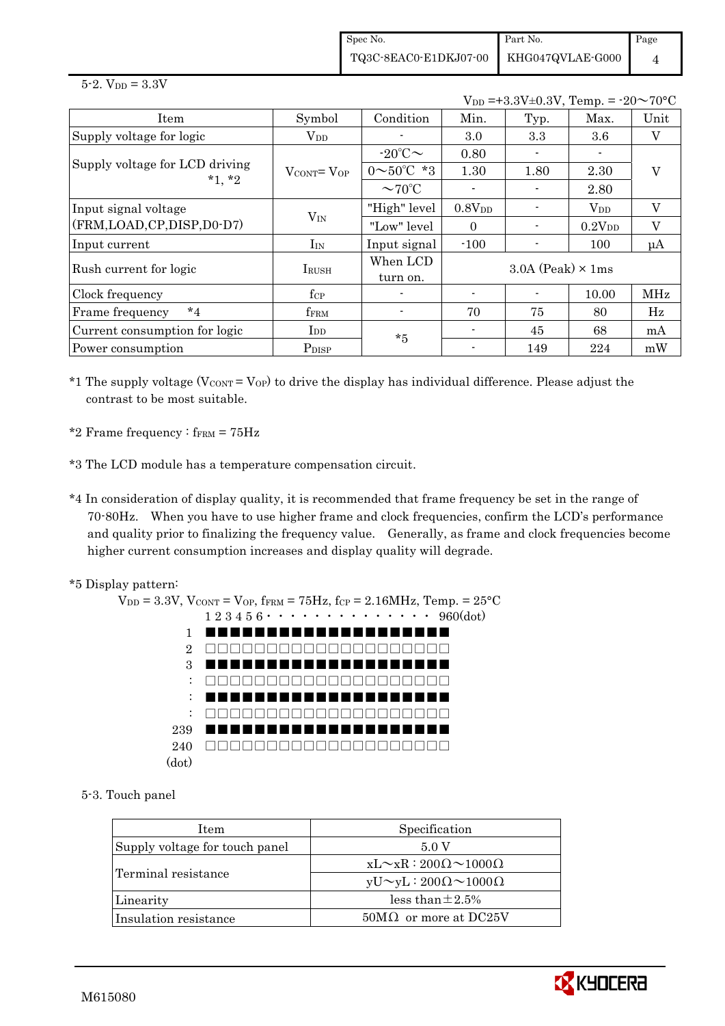Spec No. TQ3C-8EAC0-E1DKJ07-00 Part No. KHG047QVLAE-G000 Page 4

 $5 - 2.$  V<sub>DD</sub> =  $3.3V$ 

|                                            |                                   |                          |                    | $V_{DD} = +3.3V \pm 0.3V$ , Temp. = $-20 \sim 70$ °C |              |         |
|--------------------------------------------|-----------------------------------|--------------------------|--------------------|------------------------------------------------------|--------------|---------|
| Item                                       | Symbol                            | Condition                | Min.               | Typ.                                                 | Max.         | Unit    |
| Supply voltage for logic                   | $\rm V_{DD}$                      |                          | 3.0                | 3.3                                                  | 3.6          | V       |
|                                            |                                   | $-20^{\circ}$ C $\sim$   | 0.80               |                                                      |              |         |
| Supply voltage for LCD driving<br>$*1, *2$ | $V_{\text{CONT}} = V_{\text{OP}}$ | $0 \sim 50^{\circ}$ C *3 | 1.30               | 1.80                                                 | 2.30         | V       |
|                                            |                                   | $\sim$ 70°C              |                    |                                                      | 2.80         |         |
| Input signal voltage                       |                                   | "High" level             | 0.8V <sub>DD</sub> |                                                      | $\rm V_{DD}$ | V       |
| (FRM,LOAD,CP,DISP,D0-D7)                   | $V_{IN}$                          | "Low" level              | $\Omega$           |                                                      | $0.2V_{DD}$  | V       |
| Input current                              | $I_{IN}$                          | Input signal             | $-100$             |                                                      | 100          | $\mu A$ |
|                                            |                                   | When LCD                 |                    | $3.0A$ (Peak) $\times$ 1ms                           |              |         |
| Rush current for logic                     | <b>IRUSH</b>                      | turn on.                 |                    |                                                      |              |         |
| Clock frequency                            | $f_{\rm CP}$                      |                          |                    |                                                      | 10.00        | MHz     |
| $*_{4}$<br>Frame frequency                 | fFRM                              | $\blacksquare$           | 70                 | 75                                                   | 80           | Hz      |
| Current consumption for logic              | $\rm{I}_{DD}$                     | $*5$                     |                    | 45                                                   | 68           | mA      |
| Power consumption                          | P <sub>DISP</sub>                 |                          | $\blacksquare$     | 149                                                  | 224          | mW      |

 $*1$  The supply voltage (VCONT = VOP) to drive the display has individual difference. Please adjust the contrast to be most suitable.

- \*2 Frame frequency :  $f_{\text{FRM}} = 75 \text{Hz}$
- \*3 The LCD module has a temperature compensation circuit.
- \*4 In consideration of display quality, it is recommended that frame frequency be set in the range of 70-80Hz. When you have to use higher frame and clock frequencies, confirm the LCD's performance and quality prior to finalizing the frequency value. Generally, as frame and clock frequencies become higher current consumption increases and display quality will degrade.
- \*5 Display pattern:

 $V_{DD} = 3.3V$ ,  $V_{CONT} = V_{OP}$ ,  $f_{FRM} = 75Hz$ ,  $f_{CP} = 2.16MHz$ ,  $T_{emp} = 25°C$  1 2 3 4 5 6・・・・・・・・・・・・・・ 960(dot) 1 2 3 : : : 239 240 □□□□□□□□□□□□□□□□□□□□ (dot) ■■■■■■■■■■■■■■■■■■■■ □□□□□□□□□□□□□□□□□□□□ ■■■■■■■■■■■■■■■■■■■■ □□□□□□□□□□□□□□□□□□□□ ■■■■■■■■■■■■■■■■■■■■ □□□□□□□□□□□□□□□□□□□□ ■■■■■■■■■■■■■■■■■■■■

5-3. Touch panel

| <b>Item</b>                    | Specification                            |  |  |  |  |
|--------------------------------|------------------------------------------|--|--|--|--|
| Supply voltage for touch panel | 5.0 V                                    |  |  |  |  |
|                                | $xL \sim xR : 200\Omega \sim 1000\Omega$ |  |  |  |  |
| Terminal resistance            | $yU \sim yL : 200\Omega \sim 1000\Omega$ |  |  |  |  |
| Linearity                      | less than $\pm 2.5\%$                    |  |  |  |  |
| Insulation resistance          | $50\text{M}\Omega$ or more at DC25V      |  |  |  |  |

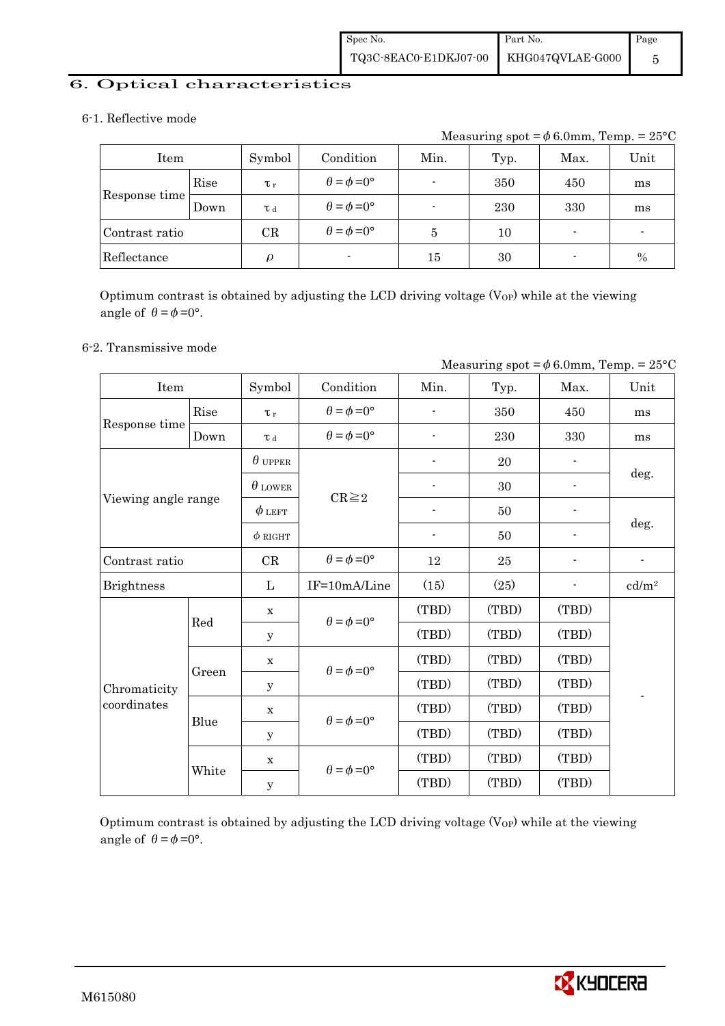#### 6. Optical characteristics

#### 6-1. Reflective mode

Measuring spot =  $\phi$  6.0mm, Temp. = 25°C

| Item           |      | Symbol                 | Condition                   | Min.   | Typ. | Max.                     | Unit |
|----------------|------|------------------------|-----------------------------|--------|------|--------------------------|------|
|                | Rise | $\tau_r$               | $\theta = \phi = 0^{\circ}$ |        | 350  | 450                      | ms   |
| Response time  | Down | T d                    | $\theta = \phi = 0^{\circ}$ |        | 230  | 330                      | ms   |
| Contrast ratio |      | CR                     | $\theta = \phi = 0^{\circ}$ | 5      | 10   | $\overline{\phantom{0}}$ | -    |
| Reflectance    |      | $\boldsymbol{\varrho}$ | $\blacksquare$              | $15\,$ | 30   | $\overline{\phantom{0}}$ | $\%$ |

Optimum contrast is obtained by adjusting the LCD driving voltage  $(V_{OP})$  while at the viewing angle of  $\theta = \phi = 0^{\circ}$ .

#### 6-2. Transmissive mode

| Measuring spot = $\phi$ 6.0mm, Temp. = 25°C |             |                                                     |                             |                          |         |       |                          |  |
|---------------------------------------------|-------------|-----------------------------------------------------|-----------------------------|--------------------------|---------|-------|--------------------------|--|
| Item                                        |             | Symbol                                              | Condition                   | Min.                     | Typ.    | Max.  | Unit                     |  |
|                                             | Rise        | $\tau_r$                                            | $\theta = \phi = 0^{\circ}$ |                          | 350     | 450   | ms                       |  |
| Response time                               | Down        | $\tau$ d                                            | $\theta = \phi = 0^{\circ}$ |                          | $\,230$ | 330   | ms                       |  |
|                                             |             | $\theta$ upper                                      |                             |                          | 20      |       |                          |  |
|                                             |             | $\theta$ lower                                      |                             |                          | 30      |       | deg.                     |  |
| Viewing angle range                         |             | $\phi$ left                                         | $CR \geq 2$                 |                          | 50      |       |                          |  |
|                                             |             | $\phi$ RIGHT                                        |                             | $\overline{\phantom{a}}$ | 50      |       | deg.                     |  |
| Contrast ratio                              |             | CR                                                  | $\theta = \phi = 0^{\circ}$ | 12                       | 25      |       | $\overline{\phantom{a}}$ |  |
| <b>Brightness</b>                           |             | L                                                   | IF=10mA/Line                | (15)                     | (25)    |       | cd/m <sup>2</sup>        |  |
|                                             | $\mathbf x$ |                                                     | $\theta = \phi = 0^{\circ}$ | (TBD)                    | (TBD)   | (TBD) |                          |  |
|                                             | Red         | y                                                   |                             | (TBD)                    | (TBD)   | (TBD) |                          |  |
|                                             | Green       | $\mathbf x$                                         |                             | (TBD)                    | (TBD)   | (TBD) |                          |  |
| Chromaticity                                |             | y                                                   | $\theta = \phi = 0^{\circ}$ | (TBD)                    | (TBD)   | (TBD) |                          |  |
| coordinates                                 |             | $\mathbf X$                                         | $\theta = \phi = 0^{\circ}$ | (TBD)                    | (TBD)   | (TBD) |                          |  |
|                                             | Blue        | У                                                   |                             | (TBD)                    | (TBD)   | (TBD) |                          |  |
|                                             |             | $\mathbf x$                                         |                             | (TBD)                    | (TBD)   | (TBD) |                          |  |
|                                             |             | $\theta = \phi = 0^{\circ}$<br>White<br>$\mathbf y$ |                             | (TBD)                    | (TBD)   | (TBD) |                          |  |

Optimum contrast is obtained by adjusting the LCD driving voltage  $(V_{OP})$  while at the viewing angle of  $\theta = \phi = 0^{\circ}$ .

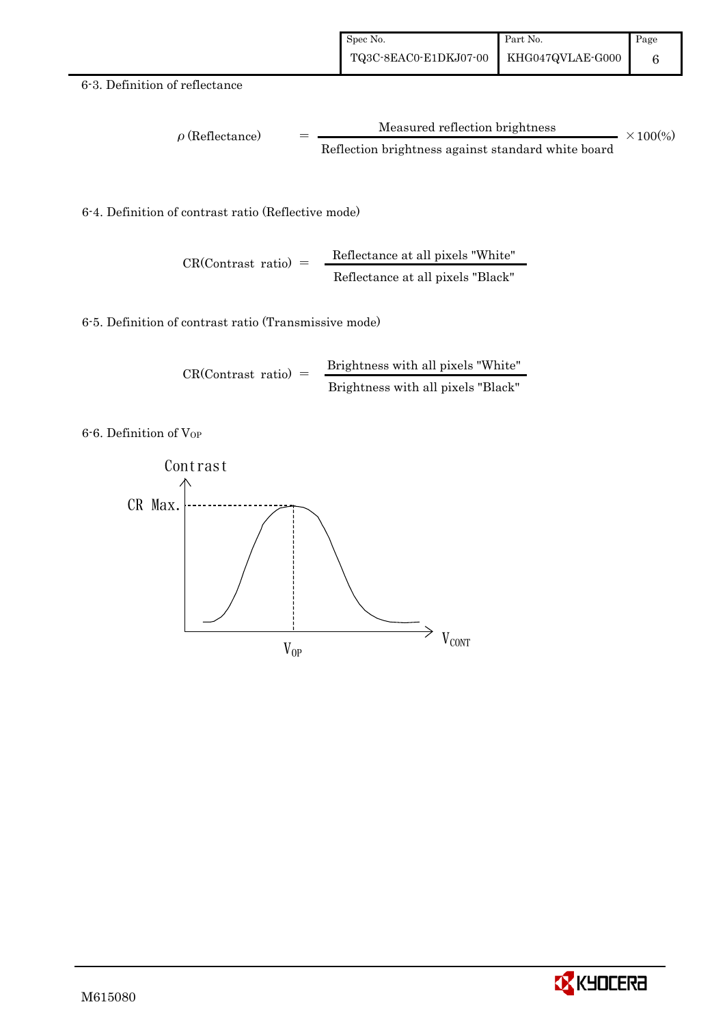#### 6-3. Definition of reflectance

$$
\rho (Reflectance) = \frac{Measured reflection brightness}{Reflection brightness against standard white board} \times 100\%
$$

6-4. Definition of contrast ratio (Reflective mode)

$$
CR(Contrast ratio) = \frac{Reflectance at all pixels "White" Refectance at all pixels "Black" |
$$

6-5. Definition of contrast ratio (Transmissive mode)

$$
CR(Contrast ratio) = \frac{Brightness with all pixels "White" }{Brightness with all pixels "Black"}
$$

6-6. Definition of VOP



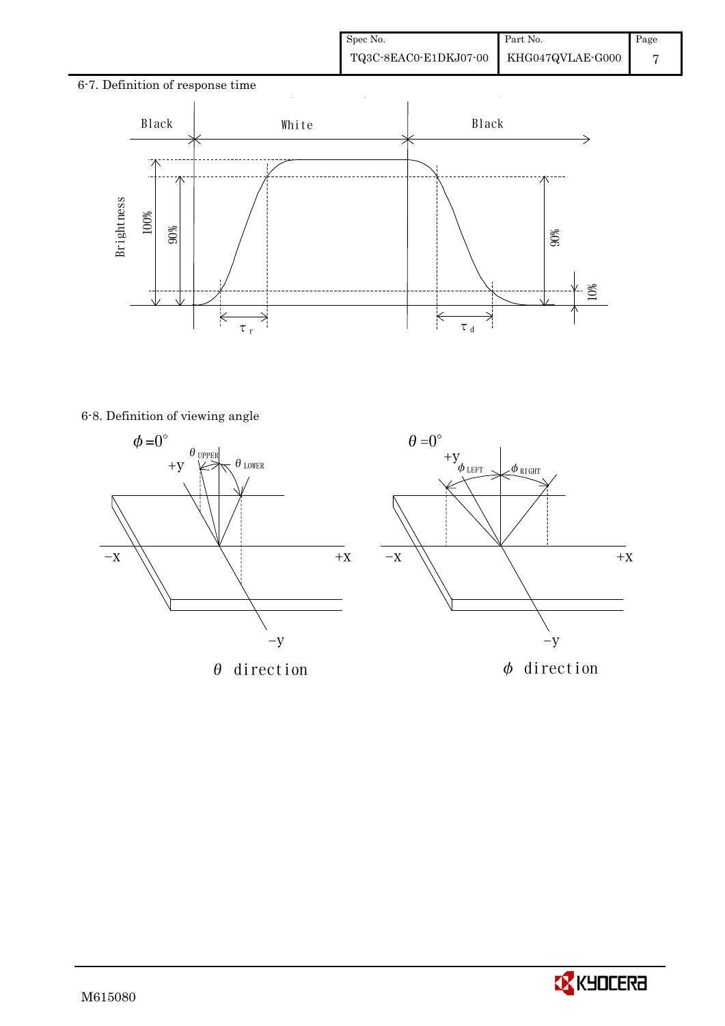# 6-7. Definition of response time  $\ddot{\phantom{a}}$ Black | White | Black - 71 6-8. Definition of viewing angle 90% 10%  $\overline{\times}$ ₹ τr  $\tau$ <sub>d</sub>





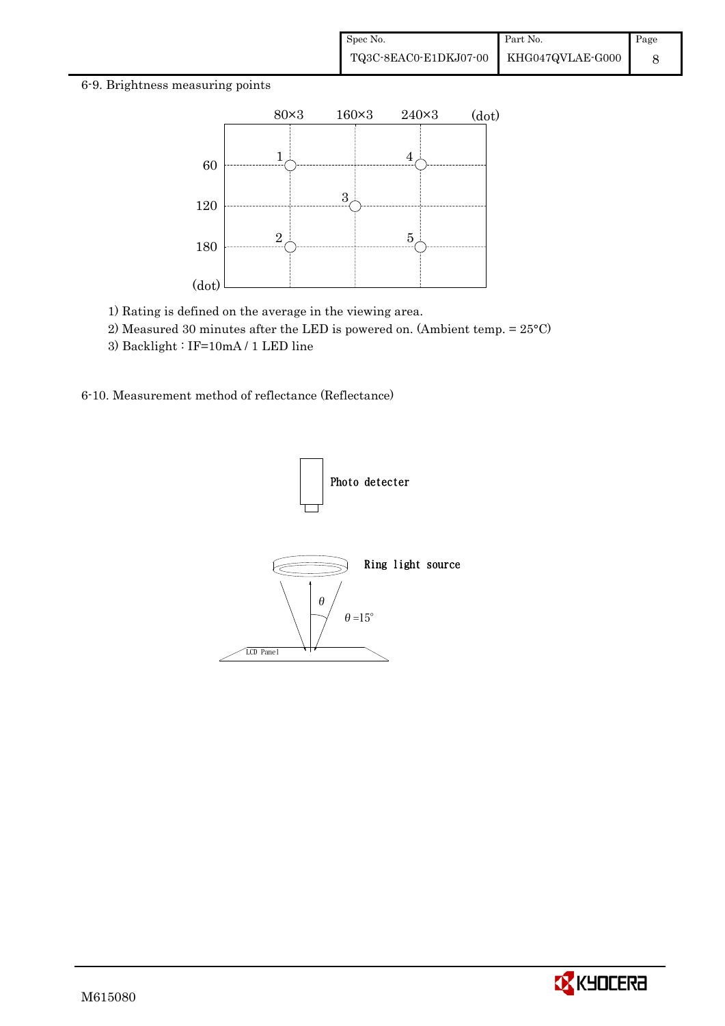#### 6-9. Brightness measuring points



- 1) Rating is defined on the average in the viewing area.
- 2) Measured 30 minutes after the LED is powered on. (Ambient temp. = 25°C)
- 3) Backlight : IF=10mA / 1 LED line

6-10. Measurement method of reflectance (Reflectance)



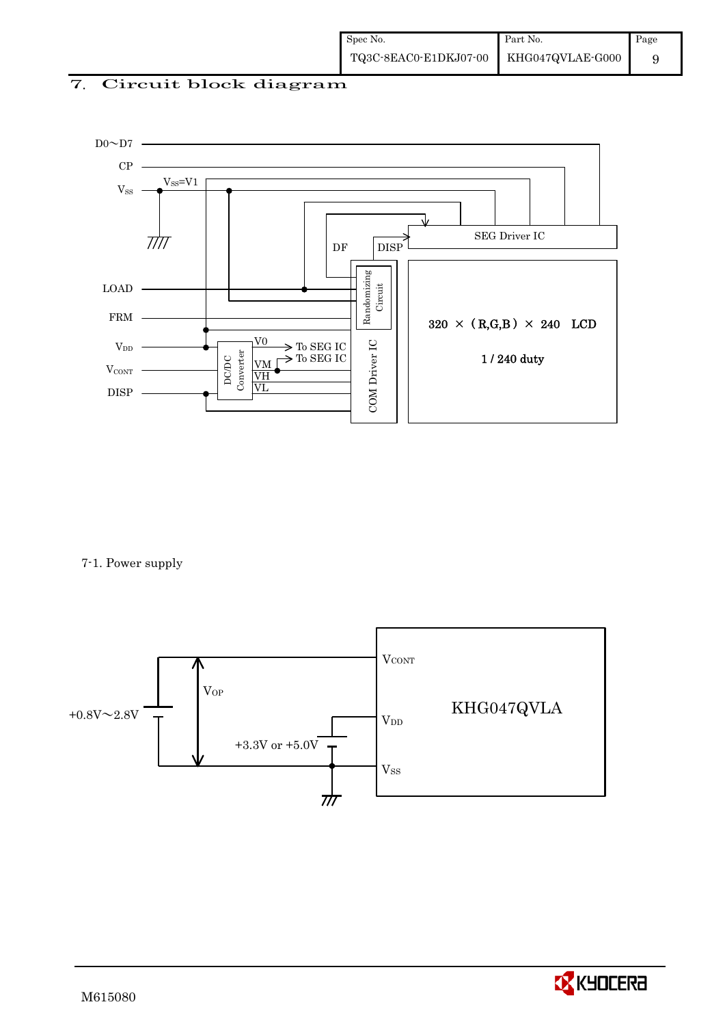#### 7. Circuit block diagram



7-1. Power supply



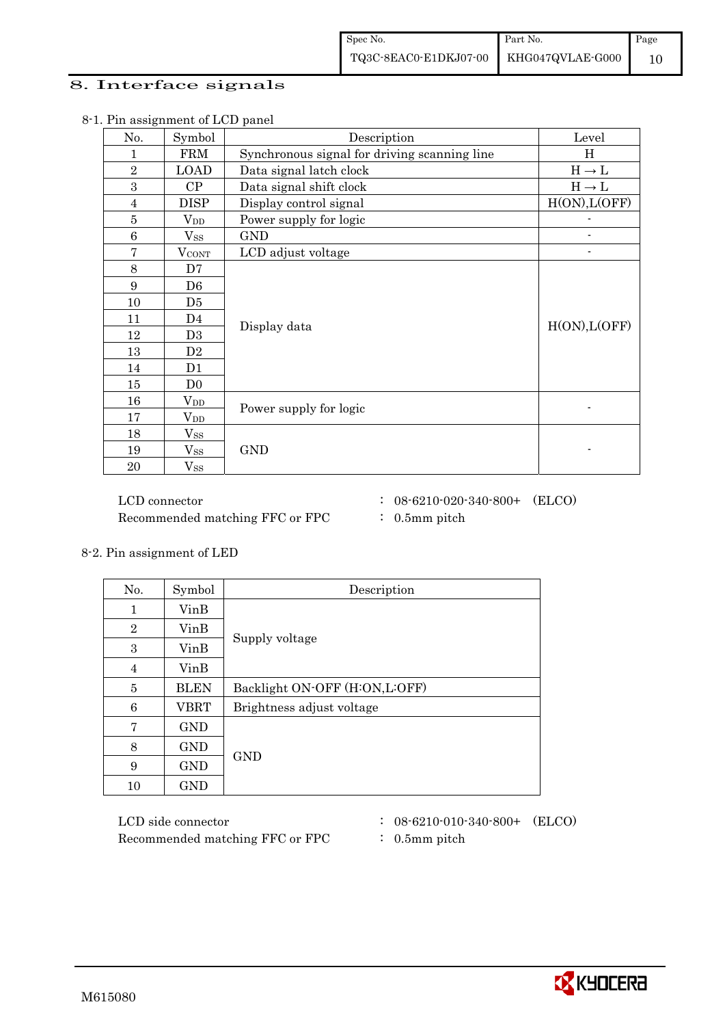#### 8. Interface signals

| No.              | Symbol            | Description                                  | Level         |
|------------------|-------------------|----------------------------------------------|---------------|
| 1                | <b>FRM</b>        | Synchronous signal for driving scanning line | Η             |
| $\overline{2}$   | <b>LOAD</b>       | Data signal latch clock                      | $H\to L$      |
| $\boldsymbol{3}$ | CP                | Data signal shift clock                      | $H\to L$      |
| 4                | <b>DISP</b>       | Display control signal                       | H(ON), L(OFF) |
| 5                | $V_{DD}$          | Power supply for logic                       |               |
| $\,6$            | $V_{SS}$          | <b>GND</b>                                   |               |
| $\overline{7}$   | $V_{\rm CONT}$    | LCD adjust voltage                           |               |
| 8                | D7                |                                              |               |
| 9                | D <sub>6</sub>    |                                              |               |
| 10               | D5                |                                              |               |
| 11               | D4                |                                              | H(ON), L(OFF) |
| 12               | D <sub>3</sub>    | Display data                                 |               |
| 13               | D2                |                                              |               |
| 14               | D1                |                                              |               |
| 15               | D <sub>0</sub>    |                                              |               |
| 16               | $\rm V_{DD}$      | Power supply for logic                       |               |
| 17               | $\rm V_{DD}$      |                                              |               |
| 18               | $V_{SS}$          |                                              |               |
| 19               | $\mathrm{V_{SS}}$ | <b>GND</b>                                   |               |
| 20               | $V_{SS}$          |                                              |               |

8-1. Pin assignment of LCD panel

Recommended matching FFC or FPC : 0.5mm pitch

LCD connector : 08-6210-020-340-800+ (ELCO)

- 
- 

8-2. Pin assignment of LED

| No.            | Symbol      | Description                   |
|----------------|-------------|-------------------------------|
| 1              | VinB        |                               |
| $\overline{2}$ | VinB        |                               |
| 3              | VinB        | Supply voltage                |
| 4              | VinB        |                               |
| 5              | <b>BLEN</b> | Backlight ON-OFF (H:ON,L:OFF) |
| 6              | <b>VBRT</b> | Brightness adjust voltage     |
| 7              | <b>GND</b>  |                               |
| 8              | GND         |                               |
| 9              | <b>GND</b>  | <b>GND</b>                    |
| 10             | GND         |                               |

Recommended matching FFC or FPC : 0.5mm pitch

- $LCD \ side \ connector$  :  $08-6210-010-340-800+$  (ELCO)
	-

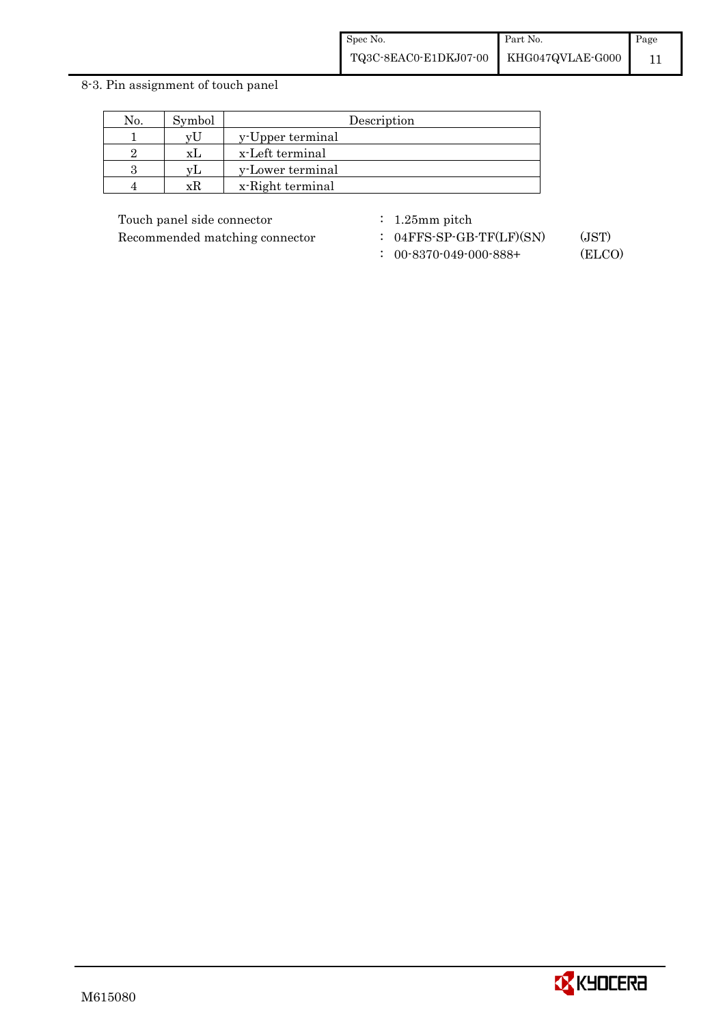#### 8-3. Pin assignment of touch panel

| No. | Symbol | Description      |
|-----|--------|------------------|
|     | vL     | y-Upper terminal |
|     | x I    | x-Left terminal  |
|     | vΙ     | y-Lower terminal |
|     | xк     | x-Right terminal |

Touch panel side connector : 1.25mm pitch

Recommended matching connector : 04FFS-SP-GB-TF(LF)(SN) (JST)

: 00-8370-049-000-888+ (ELCO)

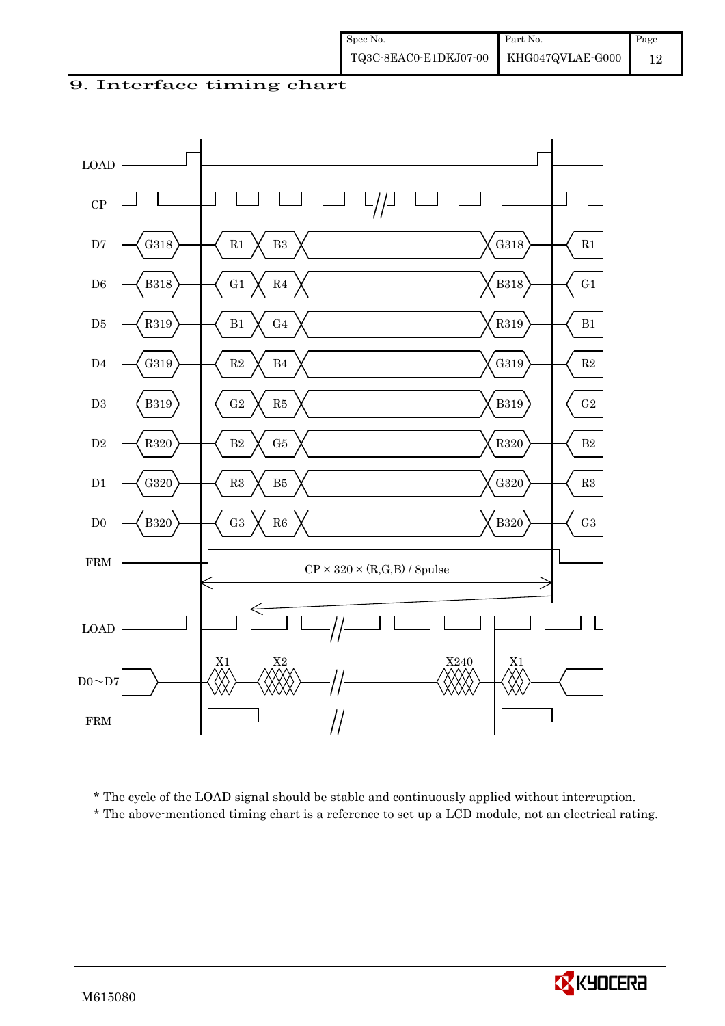9. Interface timing chart



\* The cycle of the LOAD signal should be stable and continuously applied without interruption.

\* The above-mentioned timing chart is a reference to set up a LCD module, not an electrical rating.

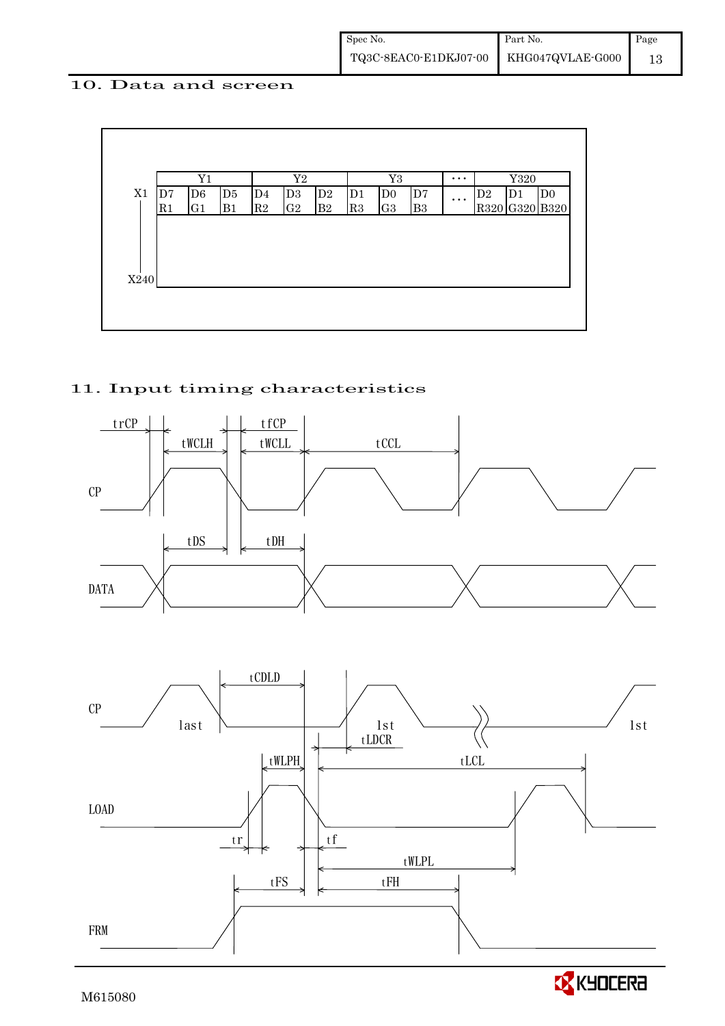#### 10. Data and screen



#### 11. Input timing characteristics





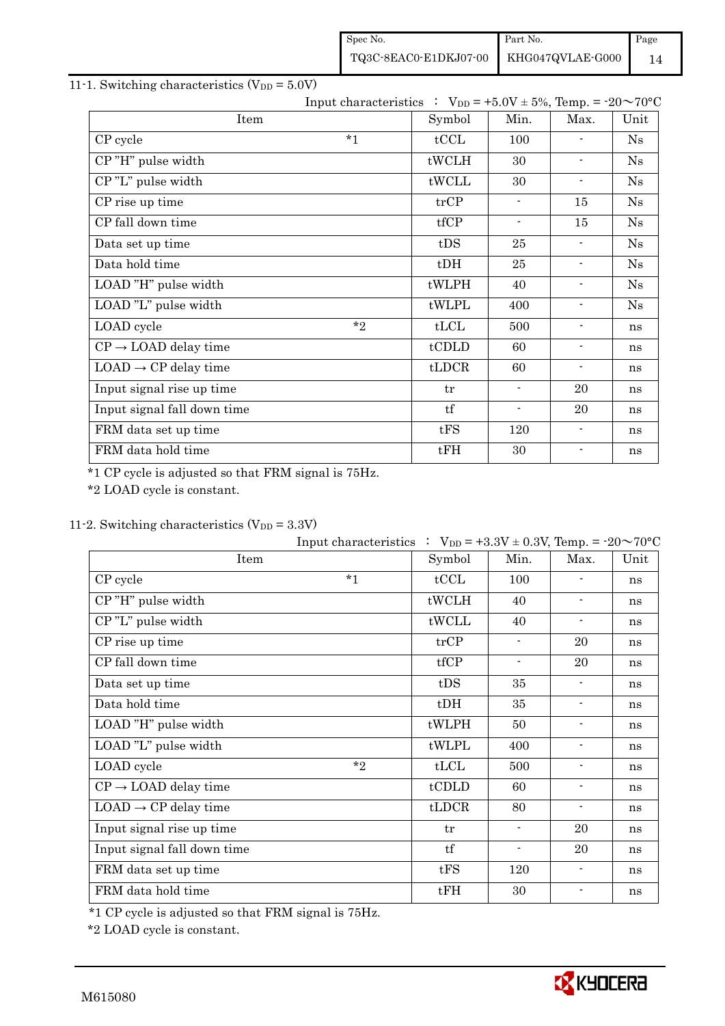Spec No. TQ3C-8EAC0-E1DKJ07-00 Part No. KHG047QVLAE-G000 Page 14

#### 11-1. Switching characteristics  $(V_{DD} = 5.0V)$

|                                  | Input characteristics : $V_{DD} = +5.0V \pm 5\%$ , Temp. = $-20 \sim 70^{\circ}C$ |        |                          |                          |      |
|----------------------------------|-----------------------------------------------------------------------------------|--------|--------------------------|--------------------------|------|
| Item                             |                                                                                   | Symbol | Min.                     | Max.                     | Unit |
| CP cycle                         | $*1$                                                                              | tCCL   | 100                      |                          | Ns   |
| CP"H" pulse width                |                                                                                   | tWCLH  | 30                       | $\overline{\phantom{a}}$ | Ns   |
| CP"L" pulse width                |                                                                                   | tWCLL  | 30                       | $\overline{\phantom{a}}$ | Ns   |
| CP rise up time                  |                                                                                   | trCP   | $\blacksquare$           | 15                       | Ns   |
| CP fall down time                |                                                                                   | tfCP   | $\overline{\phantom{a}}$ | 15                       | Ns   |
| Data set up time                 |                                                                                   | tDS    | 25                       | $\overline{\phantom{0}}$ | Ns   |
| Data hold time                   |                                                                                   | $t$ DH | 25                       | $\blacksquare$           | Ns   |
| LOAD "H" pulse width             |                                                                                   | tWLPH  | 40                       | $\blacksquare$           | Ns   |
| LOAD "L" pulse width             |                                                                                   | tWLPL  | 400                      | $\blacksquare$           | Ns   |
| LOAD cycle                       | $*$ ?                                                                             | tLCL   | 500                      | $\overline{\phantom{a}}$ | ns   |
| $CP \rightarrow$ LOAD delay time |                                                                                   | tCDLD  | 60                       | $\overline{\phantom{a}}$ | ns   |
| $LOAD \rightarrow CP$ delay time |                                                                                   | tLDCR  | 60                       | $\overline{\phantom{a}}$ | ns   |
| Input signal rise up time        |                                                                                   | tr     | $\blacksquare$           | 20                       | ns   |
| Input signal fall down time      |                                                                                   | tf     | $\blacksquare$           | 20                       | ns   |
| FRM data set up time             |                                                                                   | tFS    | 120                      | $\blacksquare$           | ns   |
| FRM data hold time               |                                                                                   | tFH    | 30                       | $\blacksquare$           | ns   |

\*1 CP cycle is adjusted so that FRM signal is 75Hz.

\*2 LOAD cycle is constant.

#### 11-2. Switching characteristics  $(V_{DD} = 3.3V)$

|                                  | Input characteristics : $V_{DD} = +3.3V \pm 0.3V$ , Temp. = -20~70°C |        |                          |                          |      |
|----------------------------------|----------------------------------------------------------------------|--------|--------------------------|--------------------------|------|
| Item                             |                                                                      | Symbol | Min.                     | Max.                     | Unit |
| CP cycle                         | $*1$                                                                 | tCCL   | 100                      |                          | ns   |
| CP"H" pulse width                |                                                                      | tWCLH  | 40                       | $\overline{\phantom{a}}$ | ns   |
| CP"L" pulse width                |                                                                      | tWCLL  | 40                       | $\overline{\phantom{a}}$ | ns   |
| CP rise up time                  |                                                                      | trCP   | $\blacksquare$           | 20                       | ns   |
| CP fall down time                |                                                                      | tfCP   | $\overline{\phantom{a}}$ | 20                       | ns   |
| Data set up time                 |                                                                      | tDS    | 35                       | $\blacksquare$           | ns   |
| Data hold time                   |                                                                      | $t$ DH | 35                       | $\overline{\phantom{a}}$ | ns   |
| LOAD "H" pulse width             |                                                                      | tWLPH  | 50                       | $\blacksquare$           | ns   |
| LOAD "L" pulse width             |                                                                      | tWLPL  | 400                      | $\overline{\phantom{a}}$ | ns   |
| LOAD cycle                       | $*$                                                                  | tLCL   | 500                      | $\overline{\phantom{a}}$ | ns   |
| $CP \rightarrow$ LOAD delay time |                                                                      | tCDLD  | 60                       | $\overline{\phantom{a}}$ | ns   |
| $LOAD \rightarrow CP$ delay time |                                                                      | tLDCR  | 80                       | $\overline{\phantom{a}}$ | ns   |
| Input signal rise up time        |                                                                      | tr     | $\blacksquare$           | 20                       | ns   |
| Input signal fall down time      |                                                                      | tf     | $\overline{\phantom{a}}$ | 20                       | ns   |
| FRM data set up time             |                                                                      | tFS    | 120                      | $\overline{\phantom{a}}$ | ns   |
| FRM data hold time               |                                                                      | tFH    | 30                       | $\blacksquare$           | ns   |

\*1 CP cycle is adjusted so that FRM signal is 75Hz.

\*2 LOAD cycle is constant.

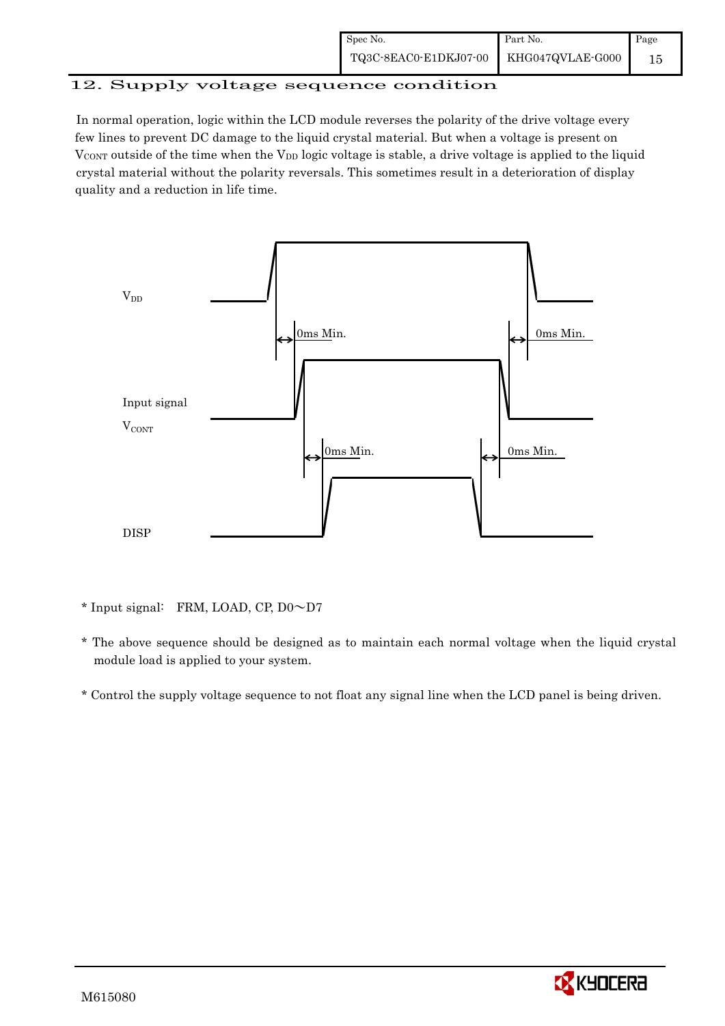| Spec No.                               | Part No. | Page |
|----------------------------------------|----------|------|
| TQ3C-8EAC0-E1DKJ07-00 KHG047QVLAE-G000 |          |      |

## 12. Supply voltage sequence condition

 In normal operation, logic within the LCD module reverses the polarity of the drive voltage every few lines to prevent DC damage to the liquid crystal material. But when a voltage is present on  $V_{\text{CONT}}$  outside of the time when the  $V_{\text{DD}}$  logic voltage is stable, a drive voltage is applied to the liquid crystal material without the polarity reversals. This sometimes result in a deterioration of display quality and a reduction in life time.



\* Input signal: FRM, LOAD, CP, D0~D7

- \* The above sequence should be designed as to maintain each normal voltage when the liquid crystal module load is applied to your system.
- \* Control the supply voltage sequence to not float any signal line when the LCD panel is being driven.

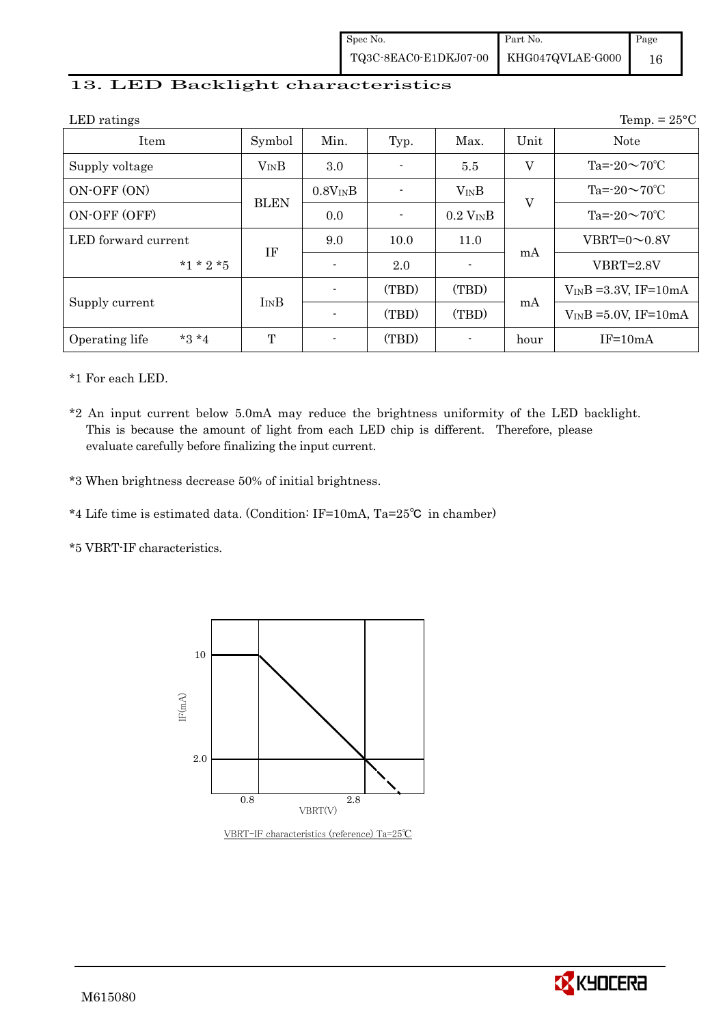| Spec No.                                                                                    | Part No. | Page |
|---------------------------------------------------------------------------------------------|----------|------|
| $\begin{tabular}{c c c} \textbf{TQ3C-8EAC0-E1DKJ07-00} & KHG047QVLAE-G000 \\ \end{tabular}$ |          |      |

#### 13. LED Backlight characteristics

| LED ratings               |             |                |       |                         |         | Temp. $= 25^{\circ}C$      |
|---------------------------|-------------|----------------|-------|-------------------------|---------|----------------------------|
| Item                      | Symbol      | Min.           | Typ.  | Max.                    | Unit    | <b>Note</b>                |
| Supply voltage            | $V_{IN}B$   | $3.0\,$        |       | 5.5                     | $\rm V$ | Ta= $-20 \sim 70$ °C       |
| ON-OFF (ON)               | <b>BLEN</b> | $0.8V_{IN}B$   |       | $V_{IN}B$               | $\rm V$ | Ta= $-20 \sim 70$ °C       |
| ON-OFF (OFF)              |             | 0.0            |       | $0.2$ V <sub>IN</sub> B |         | Ta= $-20 \sim 70$ °C       |
| LED forward current       | IF          | 9.0            | 10.0  | 11.0                    |         | VBRT= $0 \sim 0.8V$        |
| $*1 * 2 * 5$              |             | $\blacksquare$ | 2.0   |                         | mA      | $VBRT = 2.8V$              |
|                           |             |                | (TBD) | (TBD)                   |         | $V_{IN}B = 3.3V$ , IF=10mA |
| Supply current            | $I_{IN}B$   |                | (TBD) | (TBD)                   | mA      | $V_{IN}B = 5.0V$ , IF=10mA |
| $*3 *4$<br>Operating life | T           |                | (TBD) |                         | hour    | $IF=10mA$                  |

\*1 For each LED.

\*2 An input current below 5.0mA may reduce the brightness uniformity of the LED backlight. This is because the amount of light from each LED chip is different. Therefore, please evaluate carefully before finalizing the input current.

\*3 When brightness decrease 50% of initial brightness.

\*4 Life time is estimated data. (Condition: IF=10mA, Ta=25㷄 in chamber)

\*5 VBRT-IF characteristics.



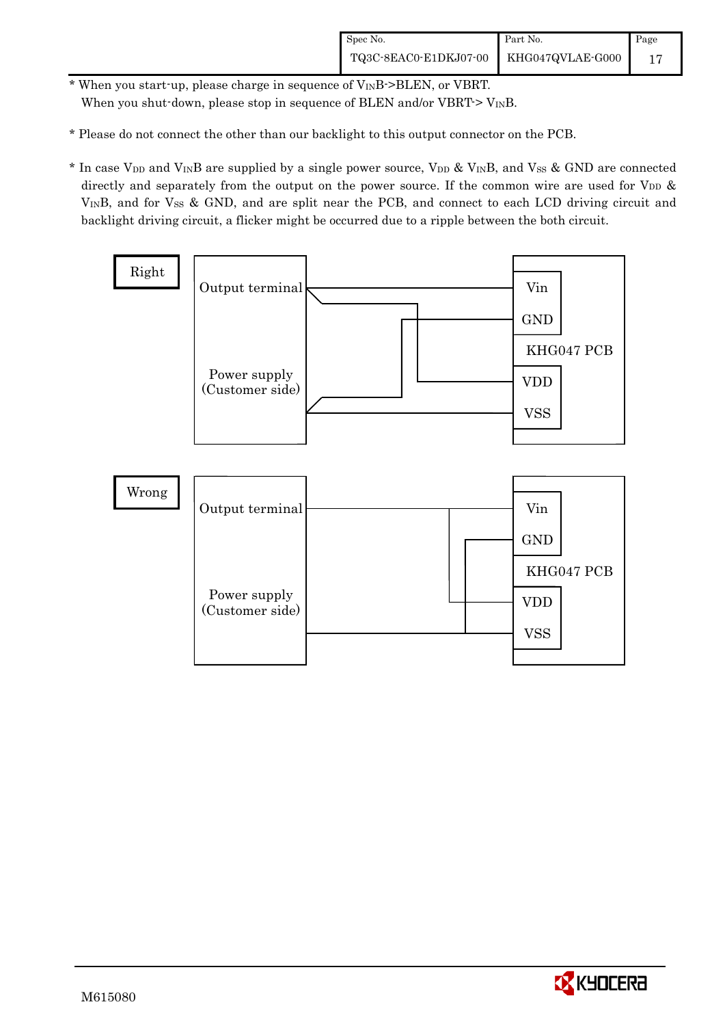- \* When you start-up, please charge in sequence of VINB->BLEN, or VBRT. When you shut-down, please stop in sequence of BLEN and/or  $VBRT > V_{IN}B$ .
- \* Please do not connect the other than our backlight to this output connector on the PCB.
- \* In case V<sub>DD</sub> and V<sub>IN</sub>B are supplied by a single power source, V<sub>DD</sub> & V<sub>IN</sub>B, and V<sub>SS</sub> & GND are connected directly and separately from the output on the power source. If the common wire are used for  $V_{DD}$  & VINB, and for Vss & GND, and are split near the PCB, and connect to each LCD driving circuit and backlight driving circuit, a flicker might be occurred due to a ripple between the both circuit.



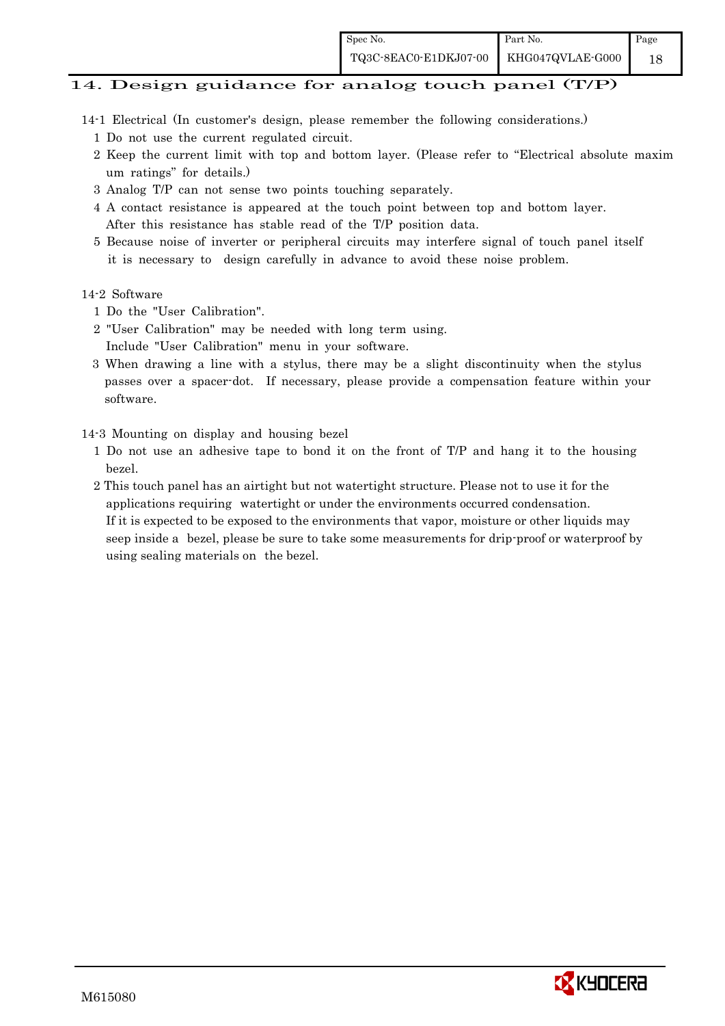#### 14. Design guidance for analog touch panel (T/P)

- 14-1 Electrical (In customer's design, please remember the following considerations.)
	- 1 Do not use the current regulated circuit.
	- 2 Keep the current limit with top and bottom layer. (Please refer to "Electrical absolute maxim um ratings" for details.)
	- 3 Analog T/P can not sense two points touching separately.
	- 4 A contact resistance is appeared at the touch point between top and bottom layer. After this resistance has stable read of the T/P position data.
	- 5 Because noise of inverter or peripheral circuits may interfere signal of touch panel itself it is necessary to design carefully in advance to avoid these noise problem.

#### 14-2 Software

- 1 Do the "User Calibration".
- 2 "User Calibration" may be needed with long term using.
- Include "User Calibration" menu in your software.
- 3 When drawing a line with a stylus, there may be a slight discontinuity when the stylus passes over a spacer-dot. If necessary, please provide a compensation feature within your software.

#### 14-3 Mounting on display and housing bezel

- 1 Do not use an adhesive tape to bond it on the front of T/P and hang it to the housing bezel.
- 2 This touch panel has an airtight but not watertight structure. Please not to use it for the applications requiring watertight or under the environments occurred condensation. If it is expected to be exposed to the environments that vapor, moisture or other liquids may seep inside a bezel, please be sure to take some measurements for drip-proof or waterproof by using sealing materials on the bezel.

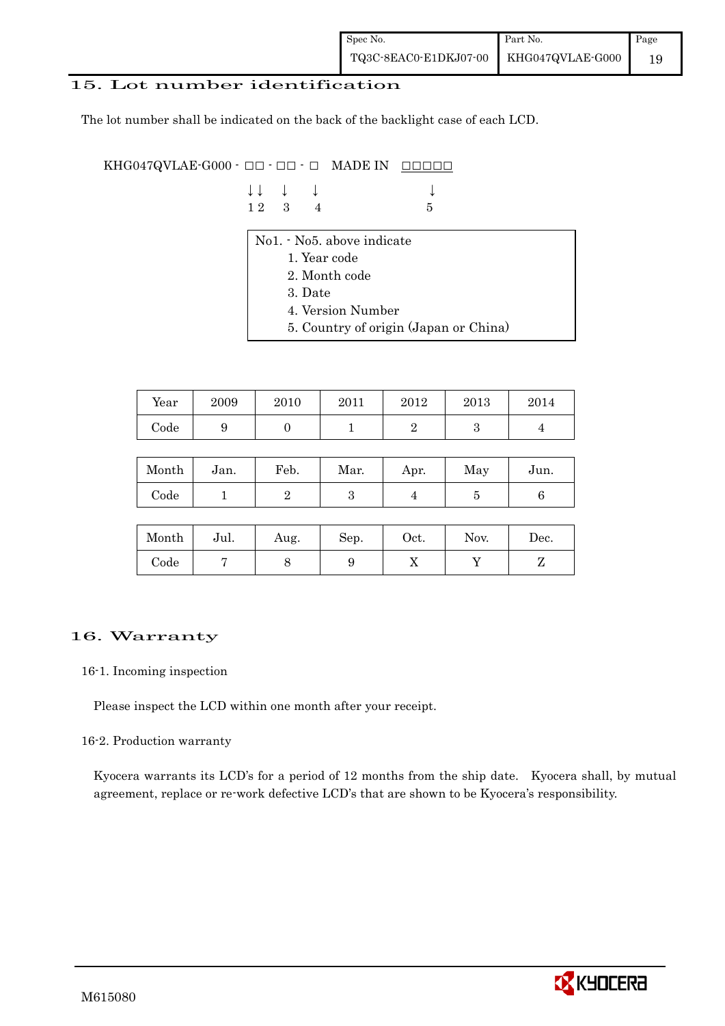#### 15. Lot number identification

The lot number shall be indicated on the back of the backlight case of each LCD.

KHG047QVLAE-G000 -  $\Box$   $\Box$   $\Box$   $\Box$   $\Box$  MADE IN  $\Box$  $\Box$  $\Box$  $\Box$  $\Box$ 

| $\downarrow \downarrow$ $\downarrow$ $\downarrow$ |  | $\downarrow$    |
|---------------------------------------------------|--|-----------------|
| $12 \quad 3 \quad 4$                              |  | $5\overline{5}$ |

- No1. No5. above indicate
	- 1. Year code
	- 2. Month code
	- 3. Date
	- 4. Version Number
	- 5. Country of origin (Japan or China)

| Year | 2009 | 2010 | 2011 | 2012 | 2013 | 2014 |
|------|------|------|------|------|------|------|
| Code | ັ    |      |      |      |      |      |

| Month | Jan. | Feb. | Mar. | Apr. | May | Jun. |
|-------|------|------|------|------|-----|------|
| Code  |      |      | ౿    |      |     |      |

| Month      | Jul. | Aug. | Sep. | $\rm Oct.$ | Nov. | Dec. |
|------------|------|------|------|------------|------|------|
| $\rm Code$ |      |      | υ    | 77         |      |      |

#### 16. Warranty

#### 16-1. Incoming inspection

Please inspect the LCD within one month after your receipt.

#### 16-2. Production warranty

 Kyocera warrants its LCD's for a period of 12 months from the ship date. Kyocera shall, by mutual agreement, replace or re-work defective LCD's that are shown to be Kyocera's responsibility.

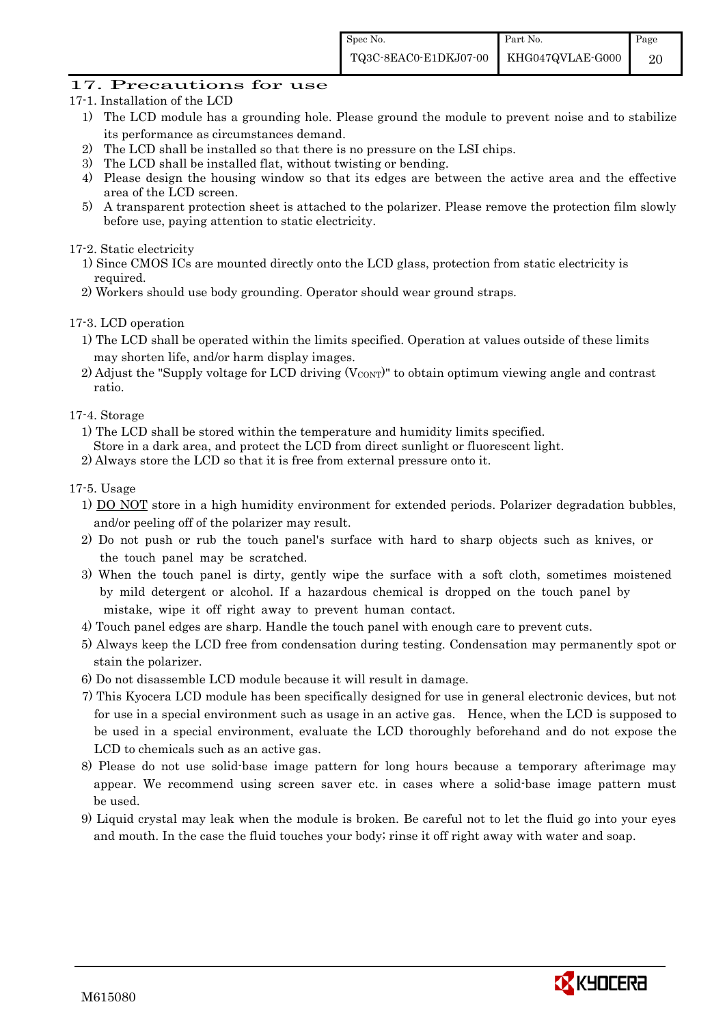#### 17. Precautions for use

- 17-1. Installation of the LCD
	- 1) The LCD module has a grounding hole. Please ground the module to prevent noise and to stabilize its performance as circumstances demand.
	- 2) The LCD shall be installed so that there is no pressure on the LSI chips.
	- 3) The LCD shall be installed flat, without twisting or bending.
	- 4) Please design the housing window so that its edges are between the active area and the effective area of the LCD screen.
	- 5) A transparent protection sheet is attached to the polarizer. Please remove the protection film slowly before use, paying attention to static electricity.

#### 17-2. Static electricity

- 1) Since CMOS ICs are mounted directly onto the LCD glass, protection from static electricity is required.
- 2) Workers should use body grounding. Operator should wear ground straps.

#### 17-3. LCD operation

- 1) The LCD shall be operated within the limits specified. Operation at values outside of these limits may shorten life, and/or harm display images.
- $2)$  Adjust the "Supply voltage for LCD driving (V $_{\text{CONT}}$ )" to obtain optimum viewing angle and contrast ratio.

#### 17-4. Storage

- 1) The LCD shall be stored within the temperature and humidity limits specified.
- Store in a dark area, and protect the LCD from direct sunlight or fluorescent light.
- 2) Always store the LCD so that it is free from external pressure onto it.

#### 17-5. Usage

- 1) DO NOT store in a high humidity environment for extended periods. Polarizer degradation bubbles, and/or peeling off of the polarizer may result.
- 2) Do not push or rub the touch panel's surface with hard to sharp objects such as knives, or the touch panel may be scratched.
- 3) When the touch panel is dirty, gently wipe the surface with a soft cloth, sometimes moistened by mild detergent or alcohol. If a hazardous chemical is dropped on the touch panel by mistake, wipe it off right away to prevent human contact.
- 4) Touch panel edges are sharp. Handle the touch panel with enough care to prevent cuts.
- 5) Always keep the LCD free from condensation during testing. Condensation may permanently spot or stain the polarizer.
- 6) Do not disassemble LCD module because it will result in damage.
- 7) This Kyocera LCD module has been specifically designed for use in general electronic devices, but not for use in a special environment such as usage in an active gas. Hence, when the LCD is supposed to be used in a special environment, evaluate the LCD thoroughly beforehand and do not expose the LCD to chemicals such as an active gas.
- 8) Please do not use solid-base image pattern for long hours because a temporary afterimage may appear. We recommend using screen saver etc. in cases where a solid-base image pattern must be used.
- 9) Liquid crystal may leak when the module is broken. Be careful not to let the fluid go into your eyes and mouth. In the case the fluid touches your body; rinse it off right away with water and soap.

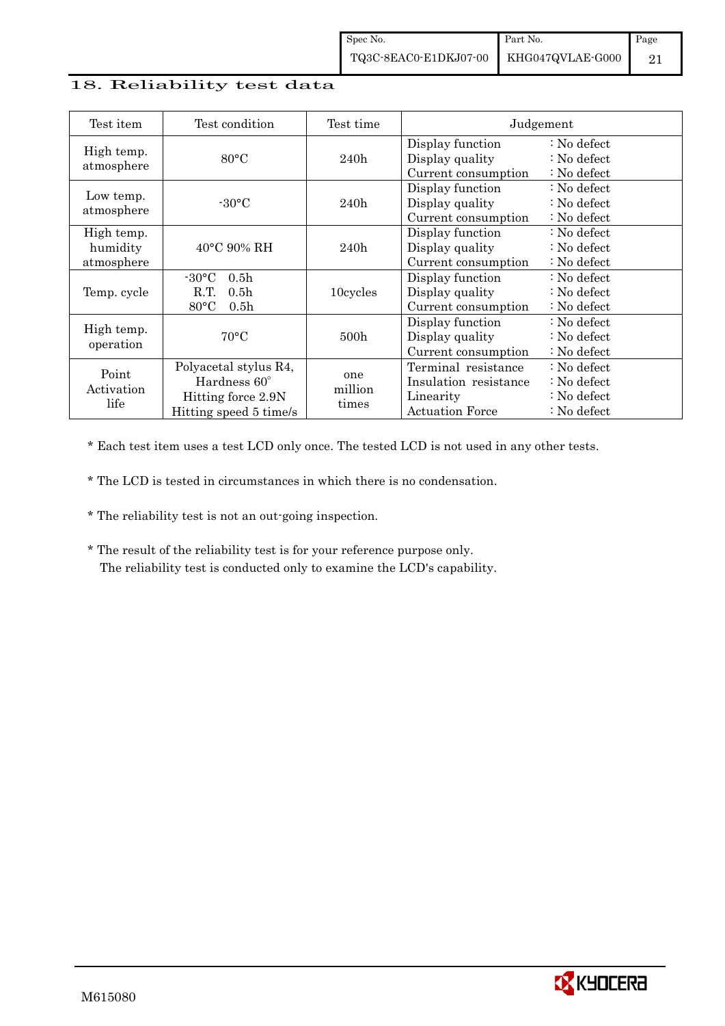#### 18. Reliability test data

| Test item                            | Test condition                                                                                       | Test time               |                                                                              | Judgement                                                           |
|--------------------------------------|------------------------------------------------------------------------------------------------------|-------------------------|------------------------------------------------------------------------------|---------------------------------------------------------------------|
| High temp.<br>atmosphere             | $80^{\circ}$ C                                                                                       | 240h                    | Display function<br>Display quality<br>Current consumption                   | : No defect<br>$\therefore$ No defect<br>: No defect                |
| Low temp.<br>atmosphere              | $-30\degree C$                                                                                       | 240h                    | Display function<br>Display quality<br>Current consumption                   | : No defect<br>$\therefore$ No defect<br>$\therefore$ No defect     |
| High temp.<br>humidity<br>atmosphere | $40^{\circ}$ C 90% RH                                                                                | 240h                    | Display function<br>Display quality<br>Current consumption                   | $\therefore$ No defect<br>$\therefore$ No defect<br>: No defect     |
| Temp. cycle                          | $-30\degree C$<br>0.5 <sub>h</sub><br>0.5 <sub>h</sub><br>R.T.<br>$80^{\circ}$ C<br>0.5 <sub>h</sub> | 10cycles                | Display function<br>Display quality<br>Current consumption                   | $\therefore$ No defect<br>$\therefore$ No defect<br>: No defect     |
| High temp.<br>operation              | $70^{\circ}$ C                                                                                       | 500h                    | Display function<br>Display quality<br>Current consumption                   | : No defect<br>$\therefore$ No defect<br>: No defect                |
| Point<br>Activation<br>life          | Polyacetal stylus R4,<br>Hardness 60°<br>Hitting force 2.9N<br>Hitting speed 5 time/s                | one<br>million<br>times | Terminal resistance<br>Insulation resistance<br>Linearity<br>Actuation Force | : No defect<br>$\therefore$ No defect<br>: No defect<br>: No defect |

\* Each test item uses a test LCD only once. The tested LCD is not used in any other tests.

\* The LCD is tested in circumstances in which there is no condensation.

\* The reliability test is not an out-going inspection.

 \* The result of the reliability test is for your reference purpose only. The reliability test is conducted only to examine the LCD's capability.

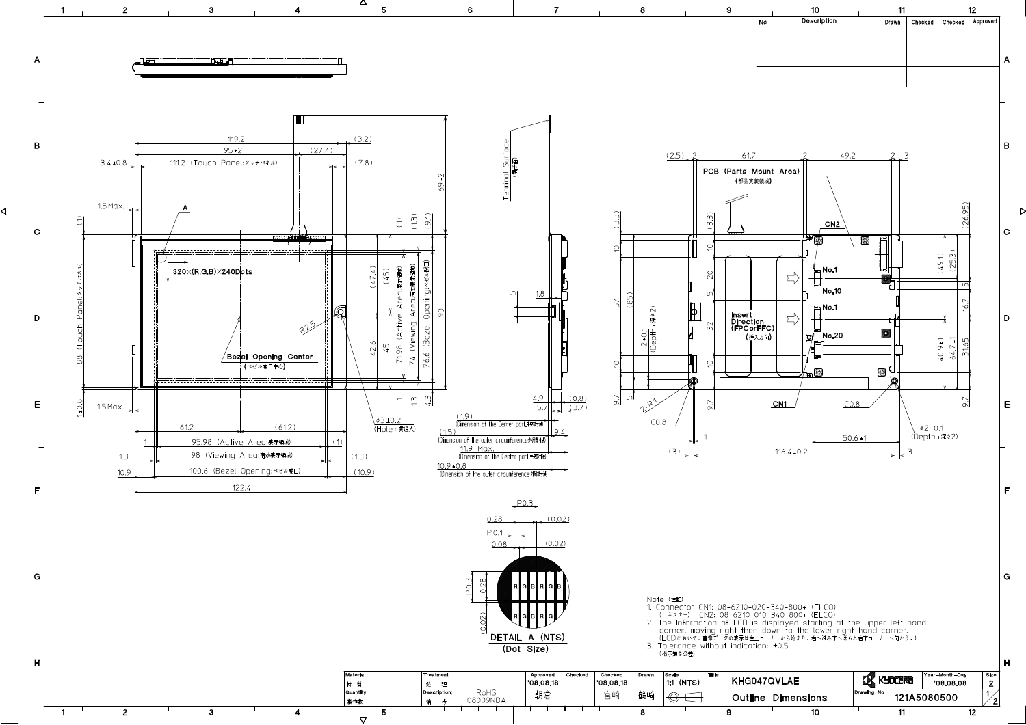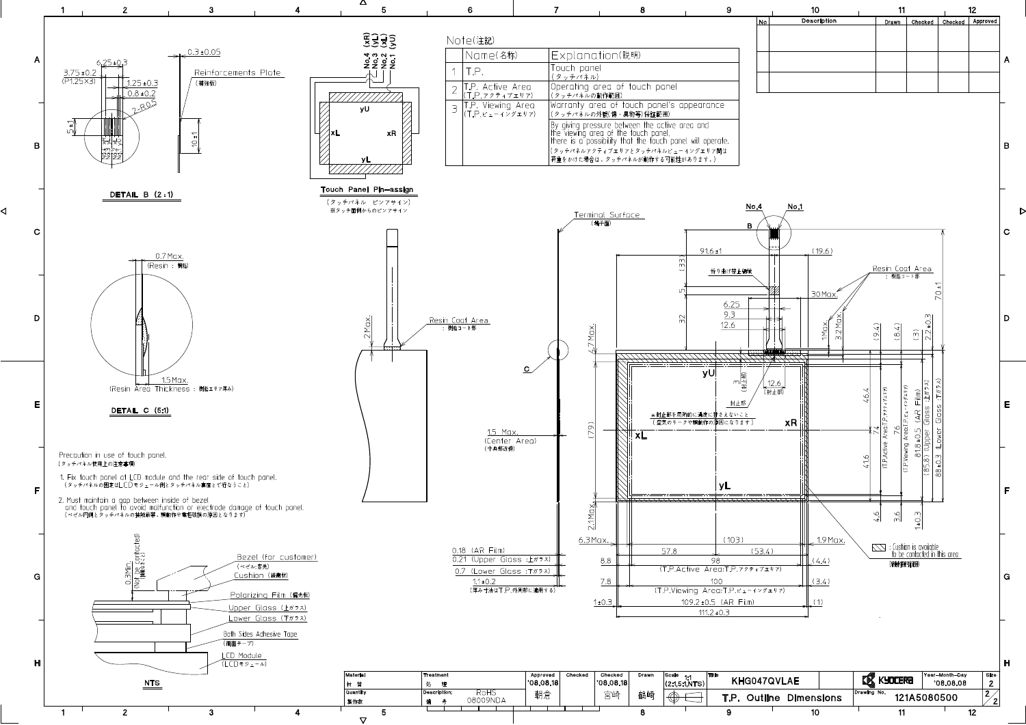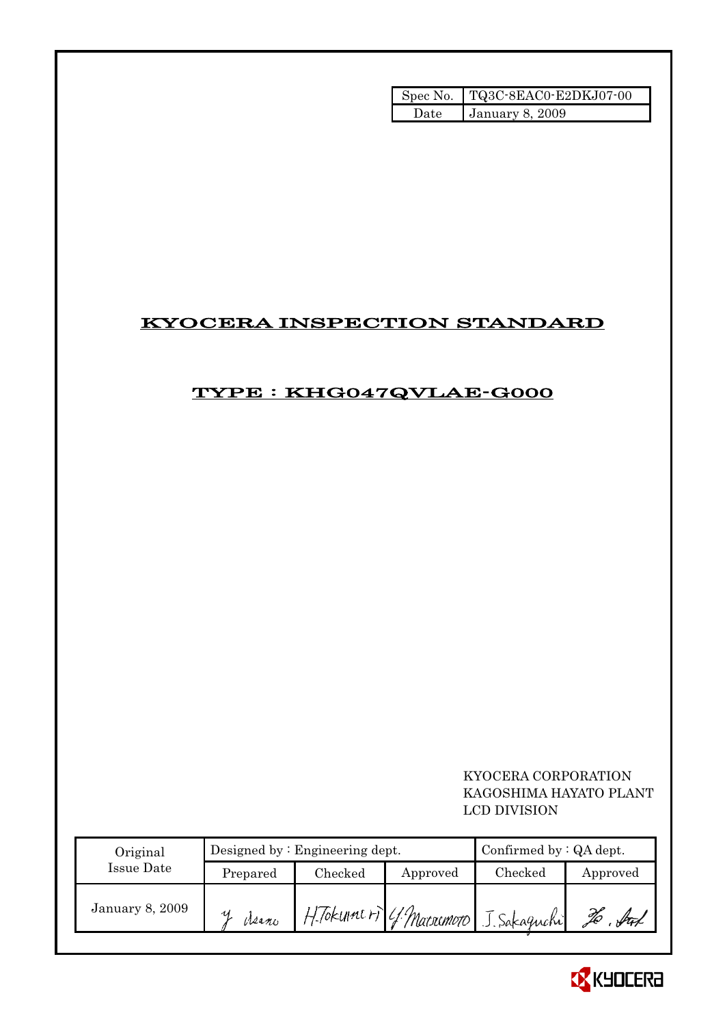|       | Spec No. TQ3C-8EAC0-E2DKJ07-00 |
|-------|--------------------------------|
| Date. | January 8, 2009                |

# KYOCERA INSPECTION STANDARD

# TYPE : KHG047QVLAE-G000

 KYOCERA CORPORATION KAGOSHIMA HAYATO PLANT LCD DIVISION

| Original               |          | Designed by $:$ Engineering dept. | Confirmed by $:QA$ dept. |                                        |           |
|------------------------|----------|-----------------------------------|--------------------------|----------------------------------------|-----------|
| Issue Date             | Prepared | Checked                           | Approved                 | Checked                                | Approved  |
| <b>January 8, 2009</b> | Meano    |                                   |                          | H. Tokume ri 4. Macromoro J. Sakaguchi | ful<br>Lo |

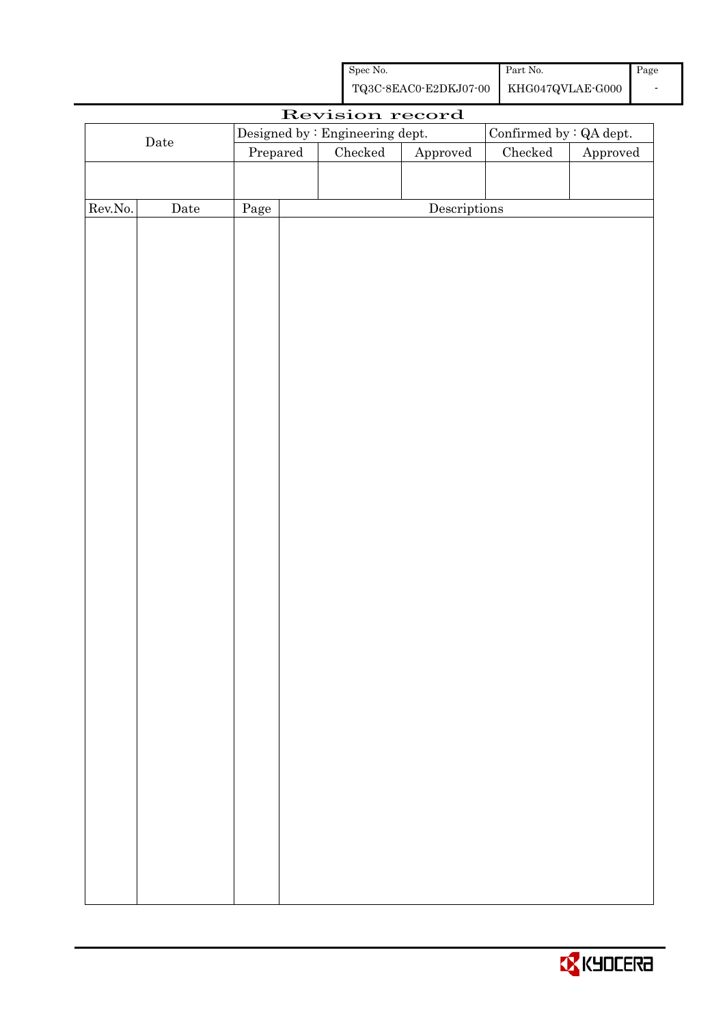| Spec No.                               | Part No. | Page |
|----------------------------------------|----------|------|
| TQ3C-8EAC0-E2DKJ07-00 KHG047QVLAE-G000 |          |      |

|                      | Revision record |          |  |                                 |                        |                         |          |  |
|----------------------|-----------------|----------|--|---------------------------------|------------------------|-------------------------|----------|--|
|                      |                 |          |  | Designed by : Engineering dept. |                        | Confirmed by : QA dept. |          |  |
| $\rm{\textbf{Date}}$ |                 | Prepared |  | Checked                         | ${\Large\bf Approved}$ | $\rm Checked$           | Approved |  |
|                      |                 |          |  |                                 |                        |                         |          |  |
|                      |                 |          |  |                                 |                        |                         |          |  |
| Rev.No.              | $\rm{Date}$     | Page     |  |                                 | Descriptions           |                         |          |  |
|                      |                 |          |  |                                 |                        |                         |          |  |
|                      |                 |          |  |                                 |                        |                         |          |  |
|                      |                 |          |  |                                 |                        |                         |          |  |
|                      |                 |          |  |                                 |                        |                         |          |  |
|                      |                 |          |  |                                 |                        |                         |          |  |
|                      |                 |          |  |                                 |                        |                         |          |  |
|                      |                 |          |  |                                 |                        |                         |          |  |
|                      |                 |          |  |                                 |                        |                         |          |  |
|                      |                 |          |  |                                 |                        |                         |          |  |
|                      |                 |          |  |                                 |                        |                         |          |  |
|                      |                 |          |  |                                 |                        |                         |          |  |
|                      |                 |          |  |                                 |                        |                         |          |  |
|                      |                 |          |  |                                 |                        |                         |          |  |
|                      |                 |          |  |                                 |                        |                         |          |  |
|                      |                 |          |  |                                 |                        |                         |          |  |
|                      |                 |          |  |                                 |                        |                         |          |  |
|                      |                 |          |  |                                 |                        |                         |          |  |
|                      |                 |          |  |                                 |                        |                         |          |  |
|                      |                 |          |  |                                 |                        |                         |          |  |
|                      |                 |          |  |                                 |                        |                         |          |  |
|                      |                 |          |  |                                 |                        |                         |          |  |
|                      |                 |          |  |                                 |                        |                         |          |  |
|                      |                 |          |  |                                 |                        |                         |          |  |
|                      |                 |          |  |                                 |                        |                         |          |  |
|                      |                 |          |  |                                 |                        |                         |          |  |
|                      |                 |          |  |                                 |                        |                         |          |  |
|                      |                 |          |  |                                 |                        |                         |          |  |
|                      |                 |          |  |                                 |                        |                         |          |  |
|                      |                 |          |  |                                 |                        |                         |          |  |
|                      |                 |          |  |                                 |                        |                         |          |  |
|                      |                 |          |  |                                 |                        |                         |          |  |
|                      |                 |          |  |                                 |                        |                         |          |  |
|                      |                 |          |  |                                 |                        |                         |          |  |
|                      |                 |          |  |                                 |                        |                         |          |  |
|                      |                 |          |  |                                 |                        |                         |          |  |
|                      |                 |          |  |                                 |                        |                         |          |  |

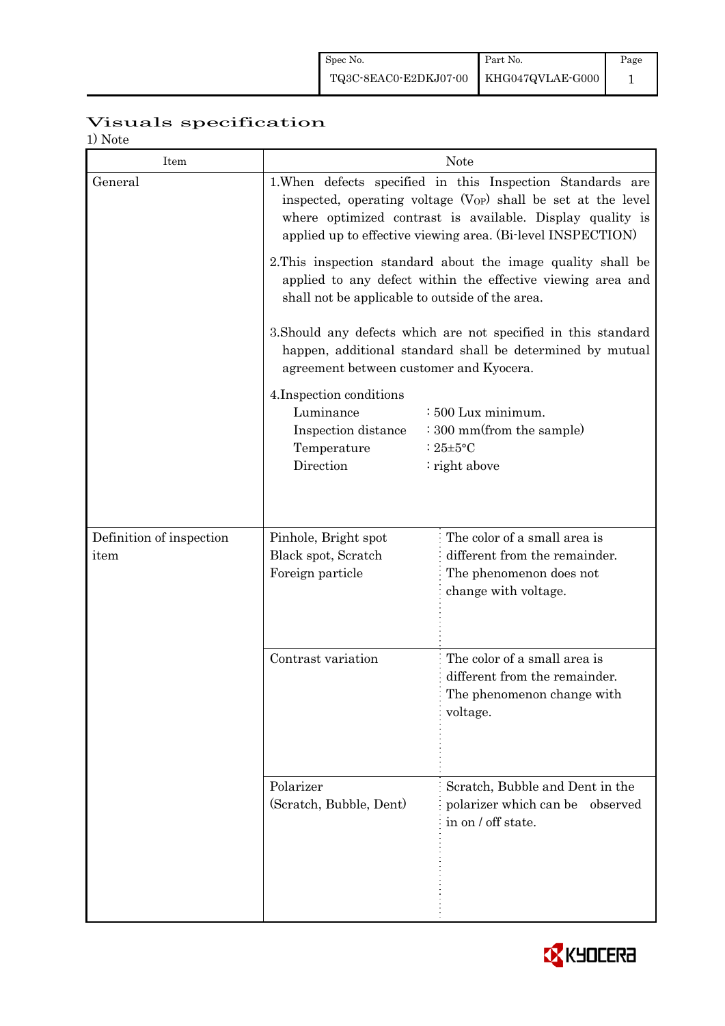# Visuals specification

1) Note

| 1/1100<br>Item           |                                                                                                                                                                                                                                                                                                                                                          | <b>Note</b>                                                                                                                                                                                                                                                 |  |  |  |  |
|--------------------------|----------------------------------------------------------------------------------------------------------------------------------------------------------------------------------------------------------------------------------------------------------------------------------------------------------------------------------------------------------|-------------------------------------------------------------------------------------------------------------------------------------------------------------------------------------------------------------------------------------------------------------|--|--|--|--|
| General                  |                                                                                                                                                                                                                                                                                                                                                          | 1. When defects specified in this Inspection Standards are<br>inspected, operating voltage $(V_{OP})$ shall be set at the level<br>where optimized contrast is available. Display quality is<br>applied up to effective viewing area. (Bi-level INSPECTION) |  |  |  |  |
|                          | 2. This inspection standard about the image quality shall be<br>applied to any defect within the effective viewing area and<br>shall not be applicable to outside of the area.<br>3. Should any defects which are not specified in this standard<br>happen, additional standard shall be determined by mutual<br>agreement between customer and Kyocera. |                                                                                                                                                                                                                                                             |  |  |  |  |
|                          |                                                                                                                                                                                                                                                                                                                                                          |                                                                                                                                                                                                                                                             |  |  |  |  |
|                          | 4. Inspection conditions<br>Luminance<br>: 500 Lux minimum.<br>: 300 mm(from the sample)<br>Inspection distance<br>Temperature<br>: $25 \pm 5$ °C<br>Direction<br>: right above                                                                                                                                                                          |                                                                                                                                                                                                                                                             |  |  |  |  |
| Definition of inspection | The color of a small area is<br>Pinhole, Bright spot                                                                                                                                                                                                                                                                                                     |                                                                                                                                                                                                                                                             |  |  |  |  |
| item                     | Black spot, Scratch<br>Foreign particle                                                                                                                                                                                                                                                                                                                  | different from the remainder.<br>The phenomenon does not<br>change with voltage.                                                                                                                                                                            |  |  |  |  |
|                          | Contrast variation                                                                                                                                                                                                                                                                                                                                       | The color of a small area is<br>different from the remainder.<br>The phenomenon change with<br>voltage.                                                                                                                                                     |  |  |  |  |
|                          | Polarizer<br>(Scratch, Bubble, Dent)                                                                                                                                                                                                                                                                                                                     | Scratch, Bubble and Dent in the<br>polarizer which can be observed<br>in on / off state.                                                                                                                                                                    |  |  |  |  |

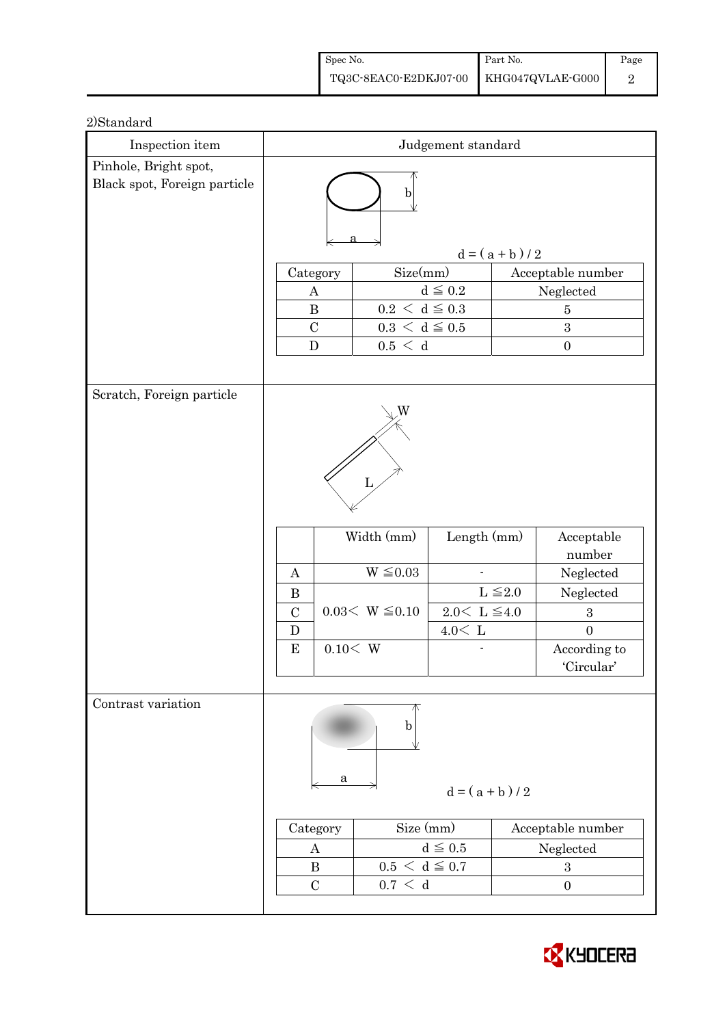| Spec No.                               | Part No. | Page |
|----------------------------------------|----------|------|
| TQ3C-8EAC0-E2DKJ07-00 KHG047QVLAE-G000 |          |      |

| Inspection item              |                                                             |                                                              | Judgement standard                                     |                 |                                                                                                                    |  |  |
|------------------------------|-------------------------------------------------------------|--------------------------------------------------------------|--------------------------------------------------------|-----------------|--------------------------------------------------------------------------------------------------------------------|--|--|
| Pinhole, Bright spot,        |                                                             |                                                              |                                                        |                 |                                                                                                                    |  |  |
| Black spot, Foreign particle | b                                                           |                                                              |                                                        |                 |                                                                                                                    |  |  |
|                              |                                                             |                                                              |                                                        | $d = (a + b)/2$ |                                                                                                                    |  |  |
|                              | Category                                                    | Size(mm)                                                     |                                                        |                 | Acceptable number                                                                                                  |  |  |
|                              | A                                                           |                                                              | $d \leq 0.2$                                           |                 | Neglected                                                                                                          |  |  |
|                              | $\bf{B}$                                                    | $0.2\,<\,\mathrm{d}\leq0.3$                                  |                                                        |                 | $\overline{5}$                                                                                                     |  |  |
|                              | $\mathcal{C}$                                               | $0.3\,<\,\mathrm{d}\leq0.5$                                  |                                                        |                 | 3                                                                                                                  |  |  |
|                              | $\mathbf D$                                                 | 0.5 < d                                                      |                                                        |                 | $\boldsymbol{0}$                                                                                                   |  |  |
|                              |                                                             |                                                              |                                                        |                 |                                                                                                                    |  |  |
| Scratch, Foreign particle    | A<br>$\bf{B}$<br>$\mathcal{C}$<br>D<br>0.10< W<br>${\bf E}$ | W<br>L<br>Width (mm)<br>$W \leq 0.03$<br>$0.03< W \leq 0.10$ | Length (mm)<br>$2.0\leq\,$ L $\leq\!4.0$<br>$4.0<\,$ L | $L \leq 2.0$    | Acceptable<br>number<br>Neglected<br>Neglected<br>$\boldsymbol{3}$<br>$\overline{0}$<br>According to<br>'Circular' |  |  |
| Contrast variation           | a<br>Category<br>A<br>$\bf{B}$<br>$\mathcal{C}$             | b<br>Size (mm)<br>$0.5 < d \leq 0.7$<br>0.7 < d              | $d = (a + b)/2$<br>$d \leq 0.5$                        |                 | Acceptable number<br>Neglected<br>$\boldsymbol{3}$<br>$\boldsymbol{0}$                                             |  |  |

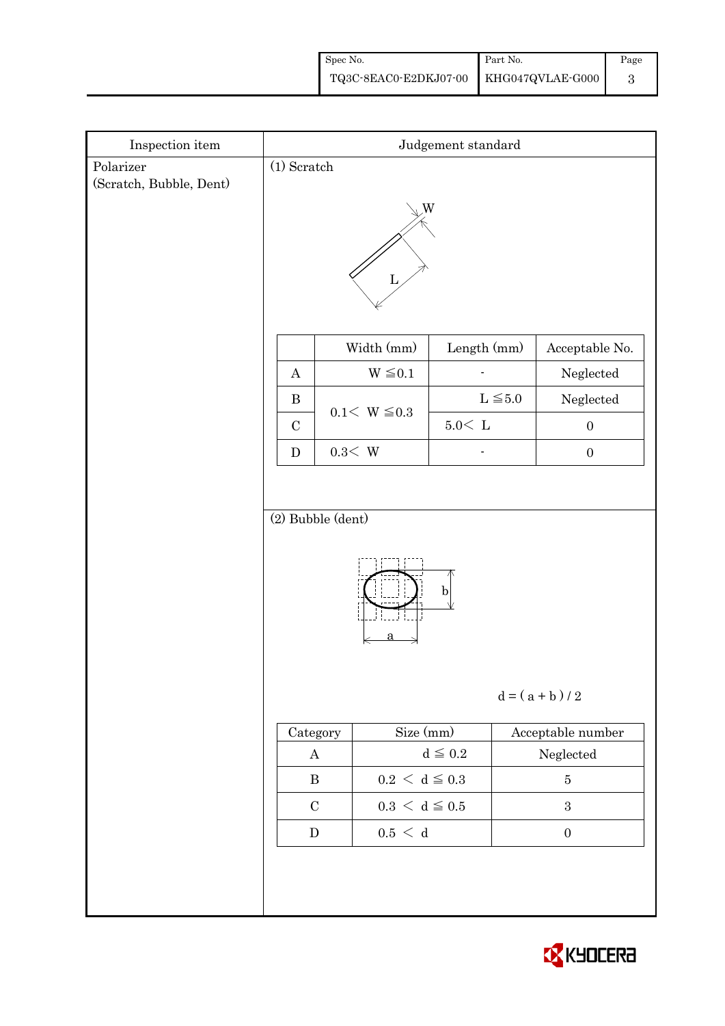| Spec No.                               | Part No. | Page |
|----------------------------------------|----------|------|
| TQ3C-8EAC0-E2DKJ07-00 KHG047QVLAE-G000 |          |      |

| Inspection item                      | Judgement standard                       |  |                                                                            |               |                   |                       |  |
|--------------------------------------|------------------------------------------|--|----------------------------------------------------------------------------|---------------|-------------------|-----------------------|--|
| Polarizer<br>(Scratch, Bubble, Dent) | $(1)$ Scratch                            |  |                                                                            |               |                   |                       |  |
|                                      | W                                        |  |                                                                            |               |                   |                       |  |
|                                      |                                          |  | Width (mm)                                                                 | Length (mm)   |                   | Acceptable No.        |  |
|                                      | $\boldsymbol{A}$                         |  | $W \leq 0.1$                                                               |               |                   | Neglected             |  |
|                                      | $\, {\bf B}$                             |  | $0.1 < W \le 0.3$                                                          |               | $L \leq 5.0$      | ${\bf Neglected}$     |  |
|                                      | $\mathbf C$                              |  |                                                                            | $5.0\rm <\ L$ |                   | $\boldsymbol{0}$      |  |
|                                      | ${\bf D}$                                |  | $0.3\rm\!<\,W$                                                             |               |                   | $\boldsymbol{0}$      |  |
|                                      |                                          |  |                                                                            |               |                   |                       |  |
|                                      | (2) Bubble (dent)<br>$\mathbf{b}$        |  |                                                                            |               |                   |                       |  |
|                                      | $d = (a + b)/2$                          |  |                                                                            |               |                   |                       |  |
|                                      | Category                                 |  | Size (mm)                                                                  |               |                   | Acceptable number     |  |
|                                      | $\bf{A}$                                 |  | $d \leqq 0.2$                                                              |               | ${\bf Neglected}$ |                       |  |
|                                      | $\, {\bf B}$<br>$\mathbf C$<br>${\bf D}$ |  | $0.2\,<\,\mathrm{d}\leq0.3$<br>$0.3\,<\,\mathrm{d}\leq0.5$<br>$0.5\,<\,$ d |               |                   | $\bf 5$<br>$\sqrt{3}$ |  |
|                                      |                                          |  |                                                                            |               |                   | $\boldsymbol{0}$      |  |
|                                      |                                          |  |                                                                            |               |                   |                       |  |
|                                      |                                          |  |                                                                            |               |                   |                       |  |